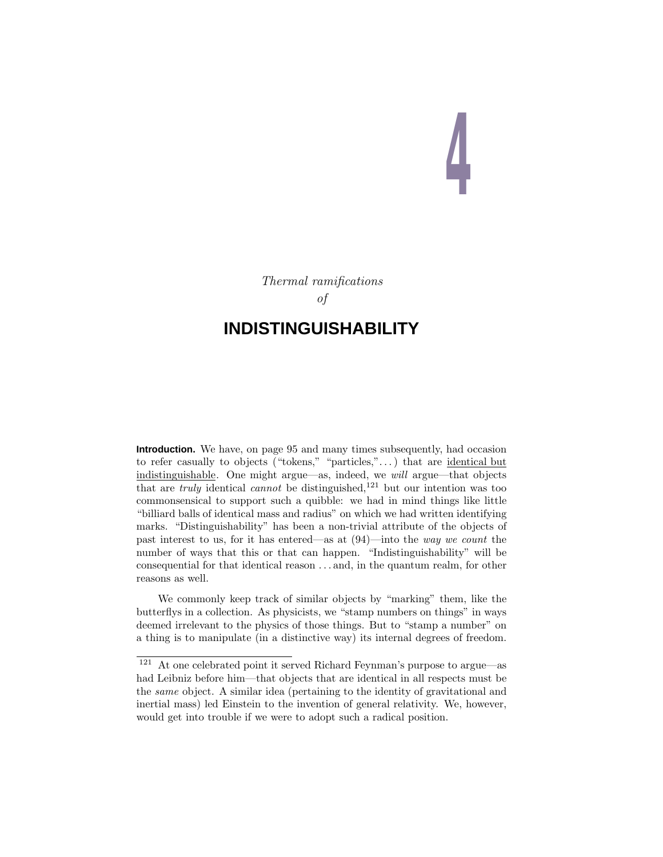# **4**

Thermal ramifications of

# **INDISTINGUISHABILITY**

**Introduction.** We have, on page 95 and many times subsequently, had occasion to refer casually to objects ("tokens," "particles," $\dots$ ) that are <u>identical but</u> indistinguishable. One might argue—as, indeed, we will argue—that objects that are *truly* identical *cannot* be distinguished,<sup>121</sup> but our intention was too commonsensical to support such a quibble: we had in mind things like little "billiard balls of identical mass and radius" on which we had written identifying marks. "Distinguishability" has been a non-trivial attribute of the objects of past interest to us, for it has entered—as at (94)—into the way we count the number of ways that this or that can happen. "Indistinguishability" will be consequential for that identical reason *...* and, in the quantum realm, for other reasons as well.

We commonly keep track of similar objects by "marking" them, like the butterflys in a collection. As physicists, we "stamp numbers on things" in ways deemed irrelevant to the physics of those things. But to "stamp a number" on a thing is to manipulate (in a distinctive way) its internal degrees of freedom.

<sup>121</sup> At one celebrated point it served Richard Feynman's purpose to argue—as had Leibniz before him—that objects that are identical in all respects must be the same object. A similar idea (pertaining to the identity of gravitational and inertial mass) led Einstein to the invention of general relativity. We, however, would get into trouble if we were to adopt such a radical position.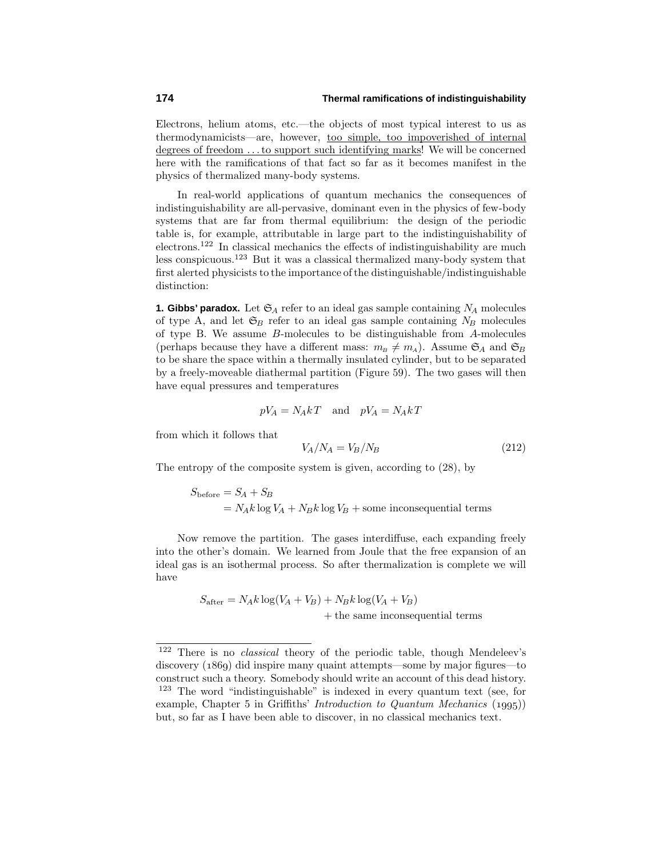Electrons, helium atoms, etc.—the objects of most typical interest to us as thermodynamicists—are, however, too simple, too impoverished of internal degrees of freedom *...*to support such identifying marks! We will be concerned here with the ramifications of that fact so far as it becomes manifest in the physics of thermalized many-body systems.

In real-world applications of quantum mechanics the consequences of indistinguishability are all-pervasive, dominant even in the physics of few-body systems that are far from thermal equilibrium: the design of the periodic table is, for example, attributable in large part to the indistinguishability of electrons.<sup>122</sup> In classical mechanics the effects of indistinguishability are much less conspicuous.<sup>123</sup> But it was a classical thermalized many-body system that first alerted physicists to the importance of the distinguishable/indistinguishable distinction:

**1. Gibbs' paradox.** Let  $\mathfrak{S}_A$  refer to an ideal gas sample containing  $N_A$  molecules of type A, and let  $\mathfrak{S}_B$  refer to an ideal gas sample containing  $N_B$  molecules of type B. We assume *B*-molecules to be distinguishable from *A*-molecules (perhaps because they have a different mass:  $m_B \neq m_A$ ). Assume  $\mathfrak{S}_A$  and  $\mathfrak{S}_B$ to be share the space within a thermally insulated cylinder, but to be separated by a freely-moveable diathermal partition (Figure 59). The two gases will then have equal pressures and temperatures

$$
pV_A = N_A kT \quad \text{and} \quad pV_A = N_A kT
$$

from which it follows that

$$
V_A/N_A = V_B/N_B \tag{212}
$$

The entropy of the composite system is given, according to (28), by

$$
S_{before} = S_A + S_B
$$
  
=  $N_A k \log V_A + N_B k \log V_B$  + some inconsequential terms

Now remove the partition. The gases interdiffuse, each expanding freely into the other's domain. We learned from Joule that the free expansion of an ideal gas is an isothermal process. So after thermalization is complete we will have

$$
S_{\text{after}} = N_A k \log(V_A + V_B) + N_B k \log(V_A + V_B)
$$
  
+ the same inconsequential terms

 $122$  There is no *classical* theory of the periodic table, though Mendeleev's discovery  $(1869)$  did inspire many quaint attempts—some by major figures—to construct such a theory. Somebody should write an account of this dead history. <sup>123</sup> The word "indistinguishable" is indexed in every quantum text (see, for example, Chapter 5 in Griffiths' *Introduction to Quantum Mechanics*  $(1995)$ but, so far as I have been able to discover, in no classical mechanics text.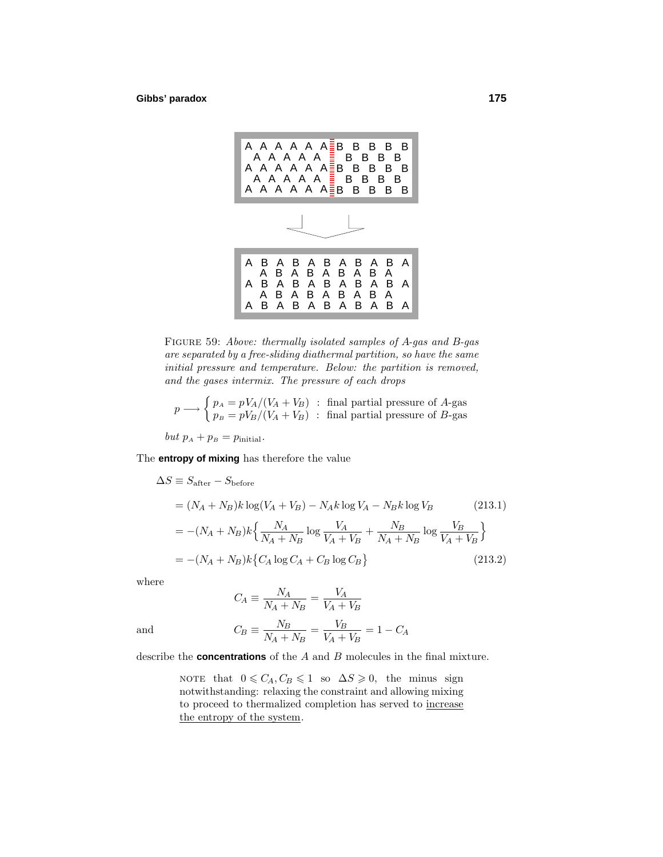

Figure 59: Above: thermally isolated samples of *A*-gas and *B*-gas are separated by a free-sliding diathermal partition, so have the same initial pressure and temperature. Below: the partition is removed, and the gases intermix. The pressure of each drops

$$
p \longrightarrow \begin{cases} p_A = pV_A/(V_A + V_B) & \text{final partial pressure of } A\text{-gas} \\ p_B = pV_B/(V_A + V_B) & \text{final partial pressure of } B\text{-gas} \end{cases}
$$

 $but p<sub>A</sub> + p<sub>B</sub> = p<sub>initial</sub>.$ 

The **entropy of mixing** has therefore the value

$$
\Delta S \equiv S_{\text{after}} - S_{\text{before}}
$$
  
=  $(N_A + N_B)k \log(V_A + V_B) - N_Ak \log V_A - N_Bk \log V_B$  (213.1)  
=  $-(N_A + N_B)k \left\{ \frac{N_A}{N_A + N_B} \log \frac{V_A}{V_A + V_B} + \frac{N_B}{N_A + N_B} \log \frac{V_B}{V_A + V_B} \right\}$   
=  $-(N_A + N_B)k \left\{ C_A \log C_A + C_B \log C_B \right\}$  (213.2)

where

$$
C_A \equiv \frac{N_A}{N_A + N_B} = \frac{V_A}{V_A + V_B}
$$

and  $C_B \equiv \frac{N_B}{N_A + N_B} = \frac{V_B}{V_A + V_B} = 1 - C_A$ 

describe the **concentrations** of the *A* and *B* molecules in the final mixture.

NOTE that  $0 \leq C_A, C_B \leq 1$  so  $\Delta S \geq 0$ , the minus sign notwithstanding: relaxing the constraint and allowing mixing to proceed to thermalized completion has served to increase the entropy of the system.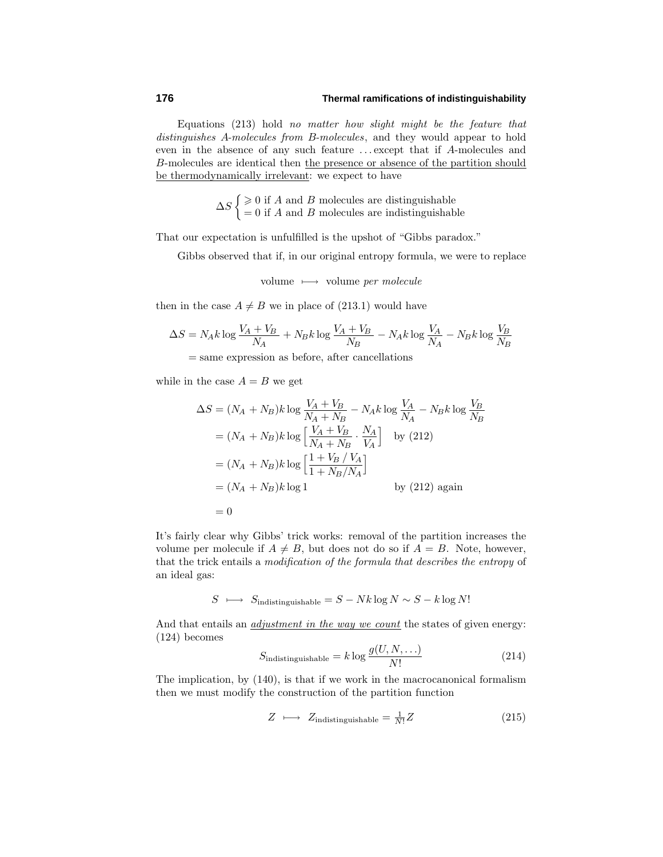Equations  $(213)$  hold no matter how slight might be the feature that distinguishes *A*-molecules from *B*-molecules, and they would appear to hold even in the absence of any such feature *...* except that if *A*-molecules and *B*-molecules are identical then the presence or absence of the partition should be thermodynamically irrelevant: we expect to have

> $\Delta S \begin{cases} \geq 0 \text{ if } A \text{ and } B \text{ molecules are distinguishable} \\ 0 \text{ if } A \text{ and } B \text{ molecules are indistinguishable} \end{cases}$ = 0 if *A* and *B* molecules are indistinguishable

That our expectation is unfulfilled is the upshot of "Gibbs paradox."

Gibbs observed that if, in our original entropy formula, we were to replace

volume  $\longmapsto$  volume per molecule

then in the case  $A \neq B$  we in place of (213.1) would have

$$
\Delta S = N_A k \log \frac{V_A + V_B}{N_A} + N_B k \log \frac{V_A + V_B}{N_B} - N_A k \log \frac{V_A}{N_A} - N_B k \log \frac{V_B}{N_B}
$$

= same expression as before, after cancellations

while in the case  $A = B$  we get

$$
\Delta S = (N_A + N_B)k \log \frac{V_A + V_B}{N_A + N_B} - N_A k \log \frac{V_A}{N_A} - N_B k \log \frac{V_B}{N_B}
$$
  
=  $(N_A + N_B)k \log \left[ \frac{V_A + V_B}{N_A + N_B} \cdot \frac{N_A}{V_A} \right]$  by (212)  
=  $(N_A + N_B)k \log \left[ \frac{1 + V_B / V_A}{1 + N_B / N_A} \right]$   
=  $(N_A + N_B)k \log 1$  by (212) again  
= 0

It's fairly clear why Gibbs' trick works: removal of the partition increases the volume per molecule if  $A \neq B$ , but does not do so if  $A = B$ . Note, however, that the trick entails a modification of the formula that describes the entropy of an ideal gas:

$$
S \ \longmapsto \ S_{\text{indistinguishable}} = S - Nk \log N \sim S - k \log N!
$$

And that entails an *adjustment in the way we count* the states of given energy:  $(124)$  becomes

$$
S_{\text{indistinguishable}} = k \log \frac{g(U, N, \ldots)}{N!} \tag{214}
$$

The implication, by (140), is that if we work in the macrocanonical formalism then we must modify the construction of the partition function

$$
Z \longmapsto Z_{\text{indistinguishable}} = \frac{1}{N!}Z \tag{215}
$$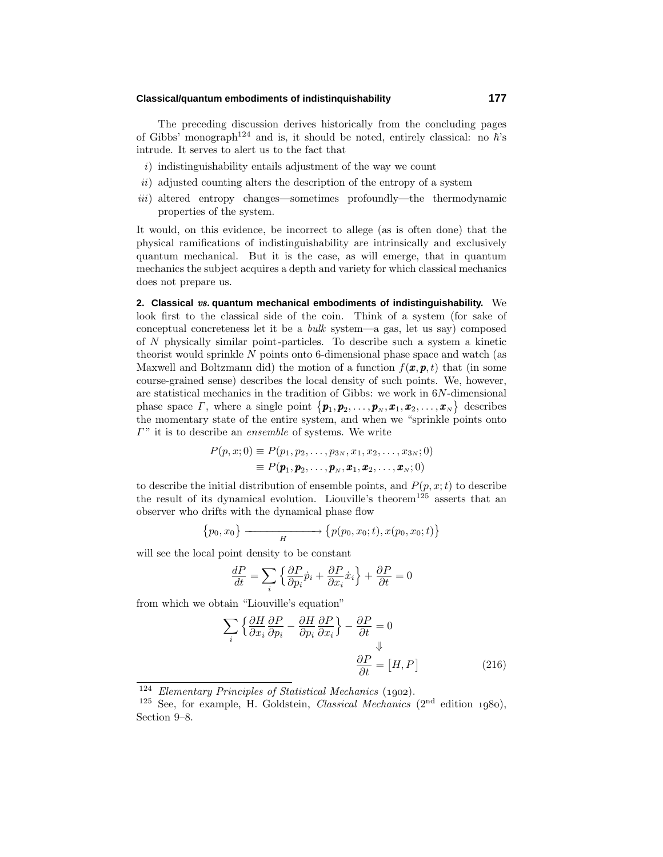### **Classical/quantum embodiments of indistinquishability 177**

The preceding discussion derives historically from the concluding pages of Gibbs' monograph<sup>124</sup> and is, it should be noted, entirely classical: no  $\hbar$ 's intrude. It serves to alert us to the fact that

- $i)$  indistinguishability entails adjustment of the way we count
- $ii)$  adjusted counting alters the description of the entropy of a system
- iii) altered entropy changes—sometimes profoundly—the thermodynamic properties of the system.

It would, on this evidence, be incorrect to allege (as is often done) that the physical ramifications of indistinguishability are intrinsically and exclusively quantum mechanical. But it is the case, as will emerge, that in quantum mechanics the subject acquires a depth and variety for which classical mechanics does not prepare us.

**2. Classical** vs. **quantum mechanical embodiments of indistinguishability.** We look first to the classical side of the coin. Think of a system (for sake of conceptual concreteness let it be a *bulk* system—a gas, let us say) composed of *N* physically similar point-particles. To describe such a system a kinetic theorist would sprinkle *N* points onto 6-dimensional phase space and watch (as Maxwell and Boltzmann did) the motion of a function  $f(\mathbf{x}, \mathbf{p}, t)$  that (in some course-grained sense) describes the local density of such points. We, however, are statistical mechanics in the tradition of Gibbs: we work in 6*N*-dimensional phase space *Γ*, where a single point  $\{p_1, p_2, \ldots, p_N, x_1, x_2, \ldots, x_N\}$  describes the momentary state of the entire system, and when we "sprinkle points onto *Γ*" it is to describe an *ensemble* of systems. We write

$$
P(p, x; 0) \equiv P(p_1, p_2, \dots, p_{3N}, x_1, x_2, \dots, x_{3N}; 0)
$$
  

$$
\equiv P(\boldsymbol{p}_1, \boldsymbol{p}_2, \dots, \boldsymbol{p}_N, \boldsymbol{x}_1, \boldsymbol{x}_2, \dots, \boldsymbol{x}_N; 0)
$$

to describe the initial distribution of ensemble points, and  $P(p, x; t)$  to describe the result of its dynamical evolution. Liouville's theorem<sup>125</sup> asserts that an observer who drifts with the dynamical phase flow

$$
{p_0, x_0} \longrightarrow {p(p_0, x_0; t), x(p_0, x_0; t)}
$$

will see the local point density to be constant

$$
\frac{dP}{dt} = \sum_{i} \left\{ \frac{\partial P}{\partial p_i} \dot{p}_i + \frac{\partial P}{\partial x_i} \dot{x}_i \right\} + \frac{\partial P}{\partial t} = 0
$$

from which we obtain "Liouville's equation"

$$
\sum_{i} \left\{ \frac{\partial H}{\partial x_{i}} \frac{\partial P}{\partial p_{i}} - \frac{\partial H}{\partial p_{i}} \frac{\partial P}{\partial x_{i}} \right\} - \frac{\partial P}{\partial t} = 0
$$
  

$$
\frac{\partial P}{\partial t} = [H, P]
$$
(216)

 $124$  Elementary Principles of Statistical Mechanics (1902).

<sup>&</sup>lt;sup>125</sup> See, for example, H. Goldstein, *Classical Mechanics* ( $2<sup>nd</sup>$  edition 1980), Section 9–8.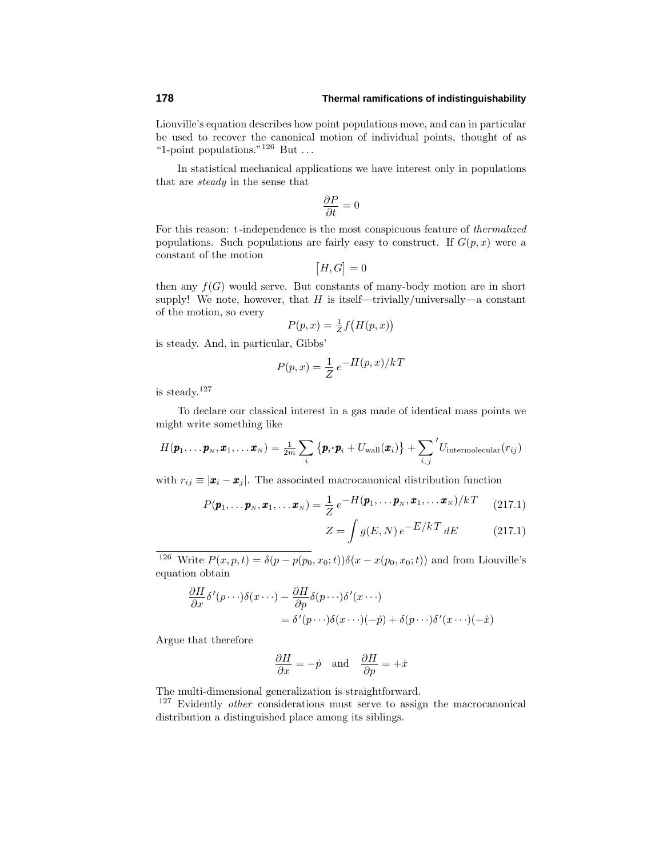Liouville's equation describes how point populations move, and can in particular be used to recover the canonical motion of individual points, thought of as "1-point populations."<sup>126</sup> But *...*

In statistical mechanical applications we have interest only in populations that are steady in the sense that

$$
\frac{\partial P}{\partial t} = 0
$$

For this reason: t-independence is the most conspicuous feature of thermalized populations. Such populations are fairly easy to construct. If  $G(p, x)$  were a constant of the motion

$$
[H,G]=0
$$

then any  $f(G)$  would serve. But constants of many-body motion are in short supply! We note, however, that  $H$  is itself—trivially/universally—a constant of the motion, so every

$$
P(p, x) = \frac{1}{Z} f\big(H(p, x)\big)
$$

is steady. And, in particular, Gibbs'

$$
P(p,x) = \frac{1}{Z} e^{-H(p,x)/kT}
$$

is steady.<sup>127</sup>

To declare our classical interest in a gas made of identical mass points we might write something like

$$
H(\boldsymbol{p}_1,\ldots\boldsymbol{p}_N,\boldsymbol{x}_1,\ldots\boldsymbol{x}_N)=\frac{1}{2m}\sum_i\big\{\boldsymbol{p}_i\!\cdot\!\boldsymbol{p}_i+U_\mathrm{wall}(\boldsymbol{x}_i)\big\}+\sum_{i,j}{}^{'}U_\mathrm{intermolecular}(r_{ij})
$$

with  $r_{ij} \equiv |\mathbf{x}_i - \mathbf{x}_j|$ . The associated macrocanonical distribution function

$$
P(\boldsymbol{p}_1,\ldots\boldsymbol{p}_N,\boldsymbol{x}_1,\ldots\boldsymbol{x}_N)=\frac{1}{Z}e^{-H(\boldsymbol{p}_1,\ldots\boldsymbol{p}_N,\boldsymbol{x}_1,\ldots\boldsymbol{x}_N)/kT}
$$
 (217.1)

$$
Z = \int g(E, N) e^{-E/kT} dE \qquad (217.1)
$$

<sup>126</sup> Write  $P(x, p, t) = \delta(p - p(p_0, x_0; t))\delta(x - x(p_0, x_0; t))$  and from Liouville's equation obtain

$$
\frac{\partial H}{\partial x}\delta'(p\cdots)\delta(x\cdots) - \frac{\partial H}{\partial p}\delta(p\cdots)\delta'(x\cdots)
$$
  
=  $\delta'(p\cdots)\delta(x\cdots)(-p) + \delta(p\cdots)\delta'(x\cdots)(-x)$ 

Argue that therefore

$$
\frac{\partial H}{\partial x} = -\dot{p} \text{ and } \frac{\partial H}{\partial p} = +\dot{x}
$$

The multi-dimensional generalization is straightforward.

<sup>127</sup> Evidently *other* considerations must serve to assign the macrocanonical distribution a distinguished place among its siblings.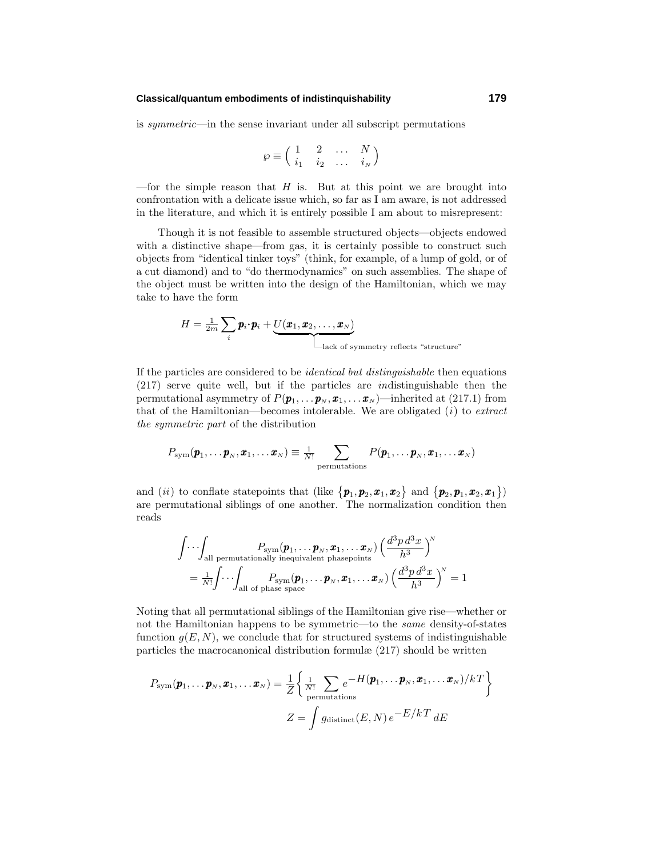### **Classical/quantum embodiments of indistinquishability 179**

is symmetric—in the sense invariant under all subscript permutations

$$
\wp \equiv \left( \begin{array}{cccc} 1 & 2 & \dots & N \\ i_1 & i_2 & \dots & i_N \end{array} \right)
$$

—for the simple reason that  $H$  is. But at this point we are brought into confrontation with a delicate issue which, so far as I am aware, is not addressed in the literature, and which it is entirely possible I am about to misrepresent:

Though it is not feasible to assemble structured objects—objects endowed with a distinctive shape—from gas, it is certainly possible to construct such objects from "identical tinker toys" (think, for example, of a lump of gold, or of a cut diamond) and to "do thermodynamics" on such assemblies. The shape of the object must be written into the design of the Hamiltonian, which we may take to have the form

$$
H = \frac{1}{2m} \sum_{i} \boldsymbol{p}_i \cdot \boldsymbol{p}_i + \underbrace{U(\boldsymbol{x}_1, \boldsymbol{x}_2, \dots, \boldsymbol{x}_N)}_{\text{-lack of symmetry reflects "structure"}
$$

If the particles are considered to be identical but distinguishable then equations  $(217)$  serve quite well, but if the particles are *indistinguishable* then the permutational asymmetry of  $P(\boldsymbol{p}_1, \ldots, \boldsymbol{p}_N, \boldsymbol{x}_1, \ldots, \boldsymbol{x}_N)$ —inherited at (217.1) from that of the Hamiltonian—becomes intolerable. We are obligated  $(i)$  to *extract* the symmetric part of the distribution

$$
P_{\text{sym}}(\boldsymbol{p}_1,\dots \boldsymbol{p}_\text{\tiny N},\boldsymbol{x}_1,\dots \boldsymbol{x}_\text{\tiny N})\equiv \tfrac{1}{N!}\sum_{\text{permutations}}P(\boldsymbol{p}_1,\dots \boldsymbol{p}_\text{\tiny N},\boldsymbol{x}_1,\dots \boldsymbol{x}_\text{\tiny N})
$$

and (*ii*) to conflate statepoints that (like  $\{p_1, p_2, x_1, x_2\}$  and  $\{p_2, p_1, x_2, x_1\}$ ) are permutational siblings of one another. The normalization condition then reads

$$
\int \cdots \int_{\text{all permutations}} P_{\text{sym}}(\pmb{p}_1, \ldots, \pmb{p}_N, \pmb{x}_1, \ldots \pmb{x}_N) \left(\frac{d^3 p \, d^3 x}{h^3}\right)^N
$$
\n
$$
= \frac{1}{N!} \int \cdots \int_{\text{all of phase space}} P_{\text{sym}}(\pmb{p}_1, \ldots, \pmb{p}_N, \pmb{x}_1, \ldots \pmb{x}_N) \left(\frac{d^3 p \, d^3 x}{h^3}\right)^N = 1
$$

Noting that all permutational siblings of the Hamiltonian give rise—whether or not the Hamiltonian happens to be symmetric—to the same density-of-states function  $g(E, N)$ , we conclude that for structured systems of indistinguishable particles the macrocanonical distribution formulæ  $(217)$  should be written

$$
P_{\text{sym}}(\boldsymbol{p}_1, \dots, \boldsymbol{p}_N, \boldsymbol{x}_1, \dots \boldsymbol{x}_N) = \frac{1}{Z} \left\{ \frac{1}{N!} \sum_{\text{permutations}} e^{-H(\boldsymbol{p}_1, \dots, \boldsymbol{p}_N, \boldsymbol{x}_1, \dots \boldsymbol{x}_N)/k} \right\}
$$

$$
Z = \int g_{\text{distinct}}(E, N) e^{-E/kT} dE
$$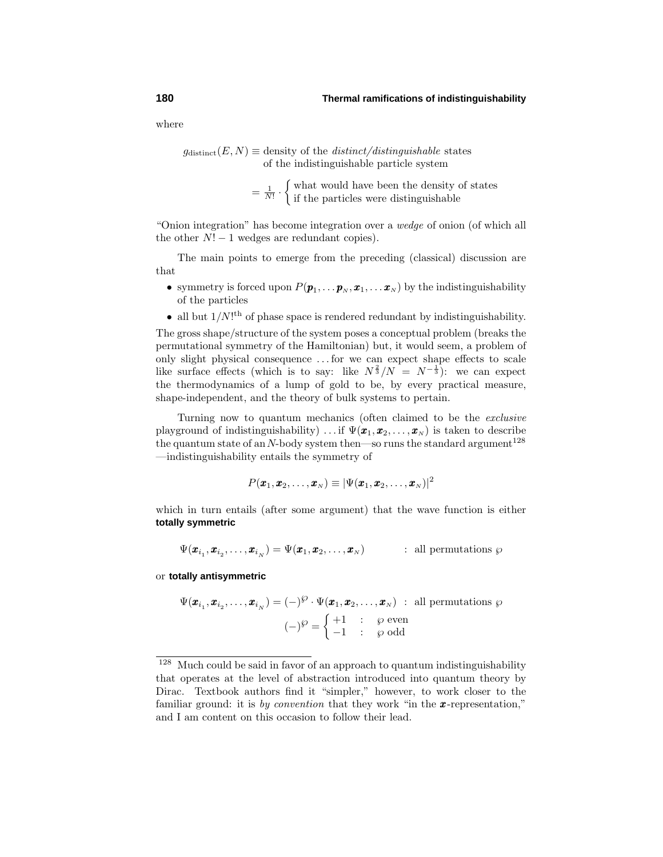where

 $g_{\text{distinct}}(E,N) \equiv$  density of the *distinct/distinguishable* states of the indistinguishable particle system

> $=$  $\frac{1}{N!}$ .  $\int$  what would have been the density of states if the particles were distinguishable

"Onion integration" has become integration over a wedge of onion (of which all the other  $N! - 1$  wedges are redundant copies).

The main points to emerge from the preceding (classical) discussion are that

- symmetry is forced upon  $P(\boldsymbol{p}_1, \ldots, \boldsymbol{p}_N, \boldsymbol{x}_1, \ldots, \boldsymbol{x}_N)$  by the indistinguishability of the particles
- all but  $1/N!$ <sup>th</sup> of phase space is rendered redundant by indistinguishability.

The gross shape/structure of the system poses a conceptual problem (breaks the permutational symmetry of the Hamiltonian)but, it would seem, a problem of only slight physical consequence *...* for we can expect shape effects to scale like surface effects (which is to say: like  $N^{\frac{2}{3}}/N = N^{-\frac{1}{3}}$ ): we can expect the thermodynamics of a lump of gold to be, by every practical measure, shape-independent, and the theory of bulk systems to pertain.

Turning now to quantum mechanics (often claimed to be the exclusive playground of indistinguishability) ... if  $\Psi(\mathbf{x}_1, \mathbf{x}_2, \dots, \mathbf{x}_N)$  is taken to describe the quantum state of an  $N$ -body system then—so runs the standard argument<sup>128</sup> —indistinguishability entails the symmetry of

$$
P(\pmb{x}_1,\pmb{x}_2,\ldots,\pmb{x}_N)\equiv |\Psi(\pmb{x}_1,\pmb{x}_2,\ldots,\pmb{x}_N)|^2
$$

which in turn entails (after some argument) that the wave function is either **totally symmetric**

$$
\Psi(\pmb{x}_{i_1},\pmb{x}_{i_2},\ldots,\pmb{x}_{i_N})=\Psi(\pmb{x}_1,\pmb{x}_2,\ldots,\pmb{x}_N) \qquad \qquad : \text{ all permutations } \wp
$$

or **totally antisymmetric**

$$
\Psi(\boldsymbol{x}_{i_1}, \boldsymbol{x}_{i_2}, \dots, \boldsymbol{x}_{i_N}) = (-)^{\wp} \cdot \Psi(\boldsymbol{x}_1, \boldsymbol{x}_2, \dots, \boldsymbol{x}_N) \; : \; \text{all permutations } \wp
$$
\n
$$
(-)^{\wp} = \begin{cases}\n+1 & : \quad \wp \text{ even} \\
-1 & : \quad \wp \text{ odd}\n\end{cases}
$$

<sup>128</sup> Much could be said in favor of an approach to quantum indistinguishability that operates at the level of abstraction introduced into quantum theory by Dirac. Textbook authors find it "simpler," however, to work closer to the familiar ground: it is by convention that they work "in the *x*-representation," and I am content on this occasion to follow their lead.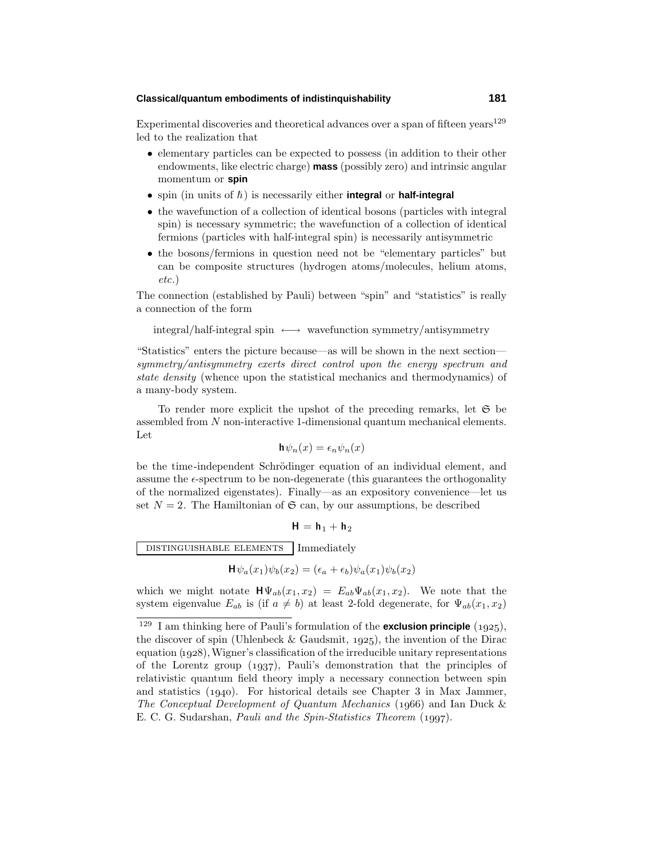### **Classical/quantum embodiments of indistinquishability 181**

Experimental discoveries and theoretical advances over a span of fifteen years<sup>129</sup> led to the realization that

- elementary particles can be expected to possess (in addition to their other endowments, like electric charge) **mass** (possibly zero) and intrinsic angular momentum or **spin**
- spin (in units of  $\hbar$ ) is necessarily either **integral** or **half-integral**
- the wavefunction of a collection of identical bosons (particles with integral spin) is necessary symmetric; the wavefunction of a collection of identical fermions (particles with half-integral spin) is necessarily antisymmetric
- the bosons/fermions in question need not be "elementary particles" but can be composite structures (hydrogen atoms/molecules, helium atoms, etc.)

The connection (established by Pauli) between "spin" and "statistics" is really a connection of the form

integral/half-integral spin  $\longleftrightarrow$  wavefunction symmetry/antisymmetry

"Statistics" enters the picture because—as will be shown in the next section symmetry/antisymmetry exerts direct control upon the energy spectrum and state density (whence upon the statistical mechanics and thermodynamics) of a many-body system.

To render more explicit the upshot of the preceding remarks, let  $\mathfrak{S}$  be assembled from *N* non-interactive 1-dimensional quantum mechanical elements. Let

$$
\mathbf{h}\psi_n(x) = \epsilon_n \psi_n(x)
$$

be the time-independent Schrödinger equation of an individual element, and assume the  $\epsilon$ *-spectrum* to be non-degenerate (this guarantees the orthogonality of the normalized eigenstates). Finally—as an expository convenience—let us set  $N = 2$ . The Hamiltonian of  $\mathfrak{S}$  can, by our assumptions, be described

$$
\mathbf{H} = \mathbf{h}_1 + \mathbf{h}_2
$$

distinguishable elementsImmediately

$$
\mathbf{H}\psi_a(x_1)\psi_b(x_2) = (\epsilon_a + \epsilon_b)\psi_a(x_1)\psi_b(x_2)
$$

which we might notate  $\mathbf{H}\Psi_{ab}(x_1,x_2) = E_{ab}\Psi_{ab}(x_1,x_2)$ . We note that the system eigenvalue  $E_{ab}$  is (if  $a \neq b$ ) at least 2-fold degenerate, for  $\Psi_{ab}(x_1, x_2)$ 

 $129$  I am thinking here of Pauli's formulation of the **exclusion principle** (1925), the discover of spin (Uhlenbeck & Gaudsmit,  $1925$ ), the invention of the Dirac  $equation (1928), Wigner's classification of the irreducible unitary representations$ of the Lorentz group  $(1937)$ , Pauli's demonstration that the principles of relativistic quantum field theory imply a necessary connection between spin and statistics  $(1940)$ . For historical details see Chapter 3 in Max Jammer, The Conceptual Development of Quantum Mechanics (1966) and Ian Duck  $\&$ E. C. G. Sudarshan, *Pauli and the Spin-Statistics Theorem* (1997).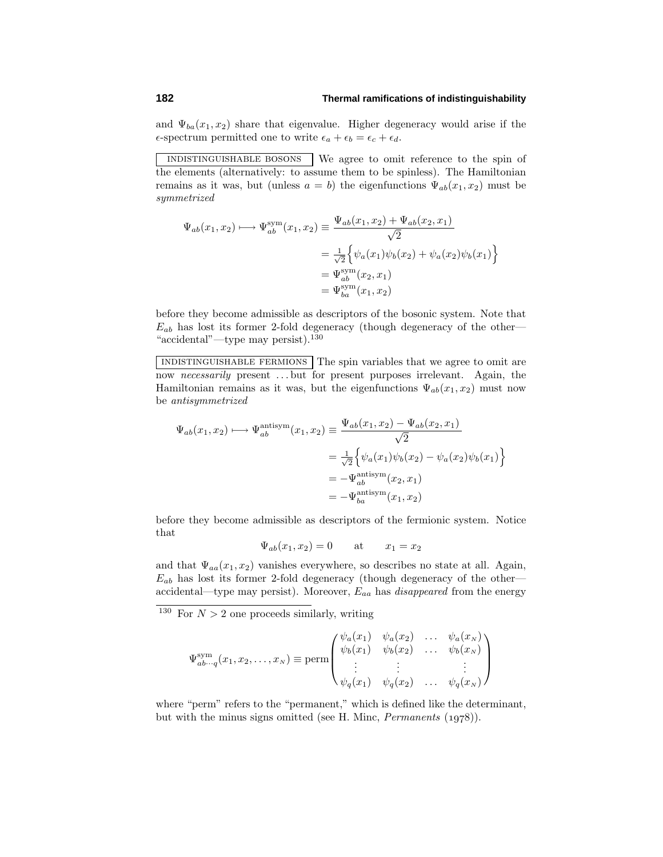and  $\Psi_{ba}(x_1, x_2)$  share that eigenvalue. Higher degeneracy would arise if the  $\epsilon$ -spectrum permitted one to write  $\epsilon_a + \epsilon_b = \epsilon_c + \epsilon_d$ .

indistinguishable bosons We agree to omit reference to the spin of the elements (alternatively: to assume them to be spinless). The Hamiltonian remains as it was, but (unless  $a = b$ ) the eigenfunctions  $\Psi_{ab}(x_1, x_2)$  must be symmetrized

$$
\Psi_{ab}(x_1, x_2) \longmapsto \Psi_{ab}^{\text{sym}}(x_1, x_2) \equiv \frac{\Psi_{ab}(x_1, x_2) + \Psi_{ab}(x_2, x_1)}{\sqrt{2}}
$$

$$
= \frac{1}{\sqrt{2}} \Big\{ \psi_a(x_1) \psi_b(x_2) + \psi_a(x_2) \psi_b(x_1) \Big\}
$$

$$
= \Psi_{ab}^{\text{sym}}(x_2, x_1)
$$

$$
= \Psi_{ba}^{\text{sym}}(x_1, x_2)
$$

before they become admissible as descriptors of the bosonic system. Note that  $E_{ab}$  has lost its former 2-fold degeneracy (though degeneracy of the other— "accidental"—type may persist).<sup>130</sup>

indistinguishable fermions The spin variables that we agree to omit are now necessarily present *...* but for present purposes irrelevant. Again, the Hamiltonian remains as it was, but the eigenfunctions  $\Psi_{ab}(x_1, x_2)$  must now be antisymmetrized

$$
\Psi_{ab}(x_1, x_2) \longmapsto \Psi_{ab}^{\text{antisym}}(x_1, x_2) \equiv \frac{\Psi_{ab}(x_1, x_2) - \Psi_{ab}(x_2, x_1)}{\sqrt{2}}
$$

$$
= \frac{1}{\sqrt{2}} \Big\{ \psi_a(x_1) \psi_b(x_2) - \psi_a(x_2) \psi_b(x_1) \Big\}
$$

$$
= -\Psi_{ab}^{\text{antisym}}(x_2, x_1)
$$

$$
= -\Psi_{ba}^{\text{antisym}}(x_1, x_2)
$$

before they become admissible as descriptors of the fermionic system. Notice that

$$
\Psi_{ab}(x_1, x_2) = 0 \qquad \text{at} \qquad x_1 = x_2
$$

and that  $\Psi_{aa}(x_1, x_2)$  vanishes everywhere, so describes no state at all. Again, *Eab* has lost its former 2-fold degeneracy (though degeneracy of the other accidental—type may persist). Moreover, *Eaa* has disappeared from the energy

<sup>130</sup> For  $N > 2$  one proceeds similarly, writing

$$
\Psi_{ab\cdots q}^{\text{sym}}(x_1, x_2, \dots, x_N) \equiv \text{perm}\begin{pmatrix} \psi_a(x_1) & \psi_a(x_2) & \dots & \psi_a(x_N) \\ \psi_b(x_1) & \psi_b(x_2) & \dots & \psi_b(x_N) \\ \vdots & \vdots & & \vdots \\ \psi_q(x_1) & \psi_q(x_2) & \dots & \psi_q(x_N) \end{pmatrix}
$$

where "perm" refers to the "permanent," which is defined like the determinant, but with the minus signs omitted (see H. Minc, *Permanents*  $(1978)$ ).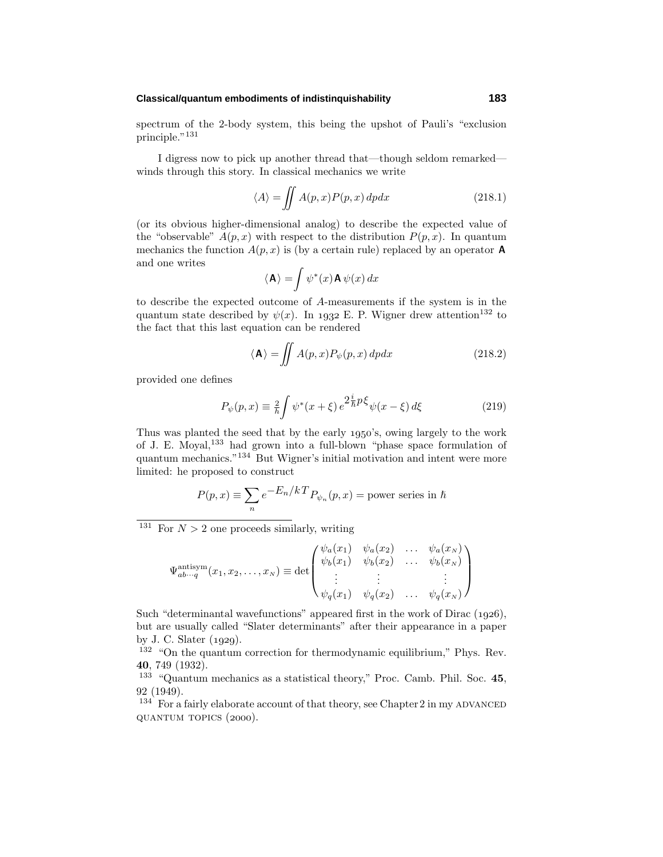### **Classical/quantum embodiments of indistinquishability 183**

spectrum of the 2-body system, this being the upshot of Pauli's "exclusion principle."<sup>131</sup>

I digress now to pick up another thread that—though seldom remarked winds through this story. In classical mechanics we write

$$
\langle A \rangle = \iint A(p, x) P(p, x) dp dx \tag{218.1}
$$

(or its obvious higher-dimensional analog) to describe the expected value of the "observable"  $A(p, x)$  with respect to the distribution  $P(p, x)$ . In quantum mechanics the function  $A(p, x)$  is (by a certain rule) replaced by an operator **A** and one writes

$$
\langle \mathbf{A} \rangle = \int \psi^*(x) \mathbf{A} \psi(x) \, dx
$$

to describe the expected outcome of *A*-measurements if the system is in the quantum state described by  $\psi(x)$ . In 1932 E. P. Wigner drew attention<sup>132</sup> to the fact that this last equation can be rendered

$$
\langle \mathbf{A} \rangle = \iint A(p, x) P_{\psi}(p, x) dp dx \qquad (218.2)
$$

provided one defines

$$
P_{\psi}(p,x) \equiv \frac{2}{h} \int \psi^*(x+\xi) e^{2\frac{i}{h}p\xi} \psi(x-\xi) d\xi
$$
 (219)

Thus was planted the seed that by the early 1950's, owing largely to the work of J. E. Moyal,<sup>133</sup> had grown into a full-blown "phase space formulation of quantum mechanics."  $^{134}$  But Wigner's initial motivation and intent were more limited: he proposed to construct

$$
P(p,x) \equiv \sum_{n} e^{-\frac{E_n}{kT}} P_{\psi_n}(p,x) = \text{power series in } \hbar
$$

<sup>131</sup> For  $N > 2$  one proceeds similarly, writing

$$
\Psi_{ab\cdots q}^{\text{antisym}}(x_1, x_2, \ldots, x_N) \equiv \det \begin{pmatrix} \psi_a(x_1) & \psi_a(x_2) & \ldots & \psi_a(x_N) \\ \psi_b(x_1) & \psi_b(x_2) & \ldots & \psi_b(x_N) \\ \vdots & \vdots & & \vdots \\ \psi_q(x_1) & \psi_q(x_2) & \ldots & \psi_q(x_N) \end{pmatrix}
$$

Such "determinantal wavefunctions" appeared first in the work of Dirac  $(1926)$ , but are usually called "Slater determinants" after their appearance in a paper by J. C. Slater  $(1929)$ .

<sup>132</sup> "On the quantum correction for thermodynamic equilibrium," Phys. Rev. **40**, 749 (1932).

<sup>133</sup> "Quantum mechanics as a statistical theory," Proc. Camb. Phil. Soc. **45**, 92 (1949).

 $134$  For a fairly elaborate account of that theory, see Chapter 2 in my ADVANCED QUANTUM TOPICS (2000).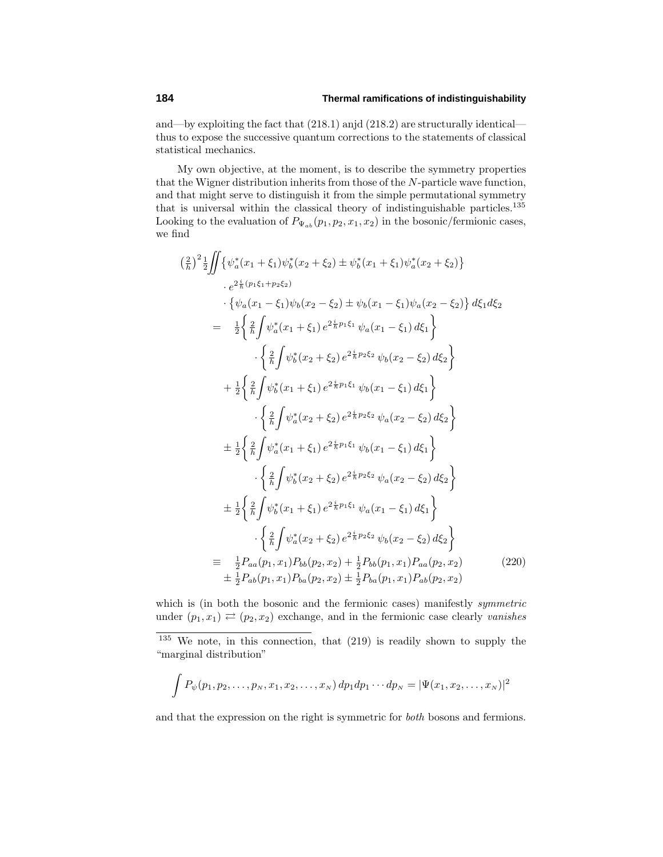and—by exploiting the fact that  $(218.1)$  anjd  $(218.2)$  are structurally identical thus to expose the successive quantum corrections to the statements of classical statistical mechanics.

My own objective, at the moment, is to describe the symmetry properties that the Wigner distribution inherits from those of the *N*-particle wave function, and that might serve to distinguish it from the simple permutational symmetry that is universal within the classical theory of indistinguishable particles. $^{135}$ Looking to the evaluation of  $P_{\Psi_{ab}}(p_1, p_2, x_1, x_2)$  in the bosonic/fermionic cases, we find

$$
\left(\frac{2}{h}\right)^{2} \frac{1}{2} \iint \left\{ \psi_{a}^{*}(x_{1} + \xi_{1}) \psi_{b}^{*}(x_{2} + \xi_{2}) \pm \psi_{b}^{*}(x_{1} + \xi_{1}) \psi_{a}^{*}(x_{2} + \xi_{2}) \right\} \n\cdot e^{2\frac{i}{h}(p_{1}\xi_{1}+p_{2}\xi_{2})} \n\cdot \left\{ \psi_{a}(x_{1} - \xi_{1}) \psi_{b}(x_{2} - \xi_{2}) \pm \psi_{b}(x_{1} - \xi_{1}) \psi_{a}(x_{2} - \xi_{2}) \right\} d\xi_{1} d\xi_{2} \n= \frac{1}{2} \left\{ \frac{2}{h} \int \psi_{a}^{*}(x_{1} + \xi_{1}) e^{2\frac{i}{h}p_{1}\xi_{1}} \psi_{a}(x_{1} - \xi_{1}) d\xi_{1} \right\} \n\cdot \left\{ \frac{2}{h} \int \psi_{b}^{*}(x_{2} + \xi_{2}) e^{2\frac{i}{h}p_{2}\xi_{2}} \psi_{b}(x_{2} - \xi_{2}) d\xi_{2} \right\} \n+ \frac{1}{2} \left\{ \frac{2}{h} \int \psi_{b}^{*}(x_{1} + \xi_{1}) e^{2\frac{i}{h}p_{1}\xi_{1}} \psi_{b}(x_{1} - \xi_{1}) d\xi_{1} \right\} \n\cdot \left\{ \frac{2}{h} \int \psi_{a}^{*}(x_{2} + \xi_{2}) e^{2\frac{i}{h}p_{2}\xi_{2}} \psi_{a}(x_{2} - \xi_{2}) d\xi_{2} \right\} \n\pm \frac{1}{2} \left\{ \frac{2}{h} \int \psi_{a}^{*}(x_{1} + \xi_{1}) e^{2\frac{i}{h}p_{1}\xi_{1}} \psi_{b}(x_{1} - \xi_{1}) d\xi_{1} \right\} \n\cdot \left\{ \frac{2}{h} \int \psi_{b}^{*}(x_{2} + \xi_{2}) e^{2\frac{i}{h}p_{2}\xi_{2}} \psi_{a}(x_{2} - \xi_{2}) d\xi_{2} \right\} \n\pm \frac{1}{2} \left\{ \frac{2}{h} \int \psi_{b}^{*}(x_{1} + \
$$

which is (in both the bosonic and the fermionic cases) manifestly symmetric under  $(p_1, x_1) \rightleftarrows (p_2, x_2)$  exchange, and in the fermionic case clearly vanishes

$$
\int P_{\psi}(p_1, p_2, \dots, p_N, x_1, x_2, \dots, x_N) dp_1 dp_1 \cdots dp_N = |\Psi(x_1, x_2, \dots, x_N)|^2
$$

and that the expression on the right is symmetric for both bosons and fermions.

 $135$  We note, in this connection, that  $(219)$  is readily shown to supply the "marginal distribution"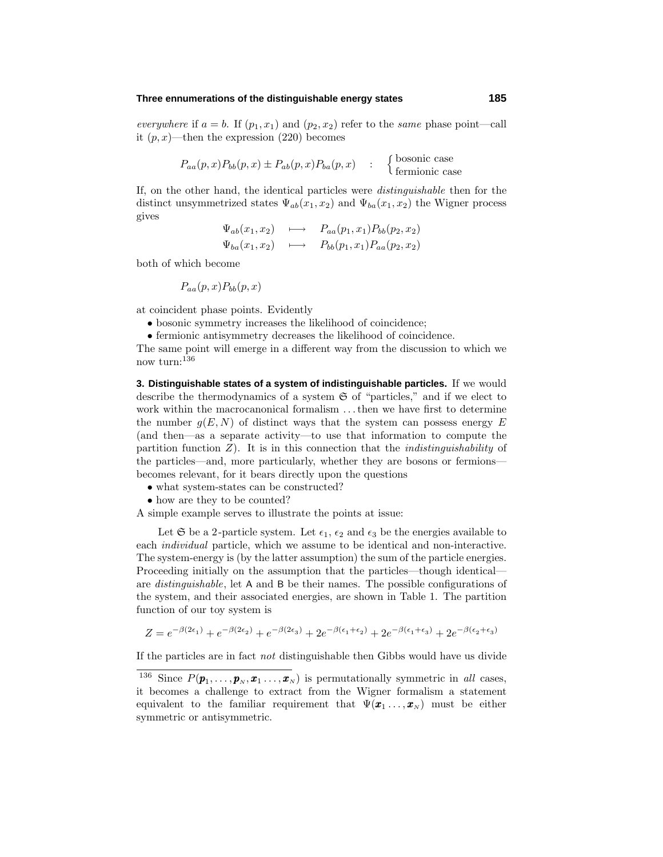### **Three ennumerations of the distinguishable energy states 185**

everywhere if  $a = b$ . If  $(p_1, x_1)$  and  $(p_2, x_2)$  refer to the same phase point—call it  $(p, x)$ —then the expression  $(220)$  becomes

$$
P_{aa}(p,x)P_{bb}(p,x) \pm P_{ab}(p,x)P_{ba}(p,x) : \quad \begin{cases} \text{bosonic case} \\ \text{fermionic case} \end{cases}
$$

If, on the other hand, the identical particles were distinguishable then for the distinct unsymmetrized states  $\Psi_{ab}(x_1, x_2)$  and  $\Psi_{ba}(x_1, x_2)$  the Wigner process gives

$$
\Psi_{ab}(x_1, x_2) \longrightarrow P_{aa}(p_1, x_1)P_{bb}(p_2, x_2)
$$
  
\n
$$
\Psi_{ba}(x_1, x_2) \longrightarrow P_{bb}(p_1, x_1)P_{aa}(p_2, x_2)
$$

both of which become

$$
P_{aa}(p,x)P_{bb}(p,x)
$$

at coincident phase points. Evidently

- bosonic symmetry increases the likelihood of coincidence;
- fermionic antisymmetry decreases the likelihood of coincidence.

The same point will emerge in a different way from the discussion to which we now turn:<sup>136</sup>

**3. Distinguishable states of a system of indistinguishable particles.** If we would describe the thermodynamics of a system  $\mathfrak S$  of "particles," and if we elect to work within the macrocanonical formalism *...*then we have first to determine the number  $g(E, N)$  of distinct ways that the system can possess energy  $E$ (and then—as a separate activity—to use that information to compute the partition function  $Z$ ). It is in this connection that the *indistinguishability* of the particles—and, more particularly, whether they are bosons or fermions becomes relevant, for it bears directly upon the questions

• what system-states can be constructed?

• how are they to be counted?

A simple example serves to illustrate the points at issue:

Let  $\mathfrak{S}$  be a 2-particle system. Let  $\epsilon_1$ ,  $\epsilon_2$  and  $\epsilon_3$  be the energies available to each individual particle, which we assume to be identical and non-interactive. The system-energy is (by the latter assumption) the sum of the particle energies. Proceeding initially on the assumption that the particles—though identical are distinguishable, let A and B be their names. The possible configurations of the system, and their associated energies, are shown in Table 1. The partition function of our toy system is

$$
Z = e^{-\beta(2\epsilon_1)} + e^{-\beta(2\epsilon_2)} + e^{-\beta(2\epsilon_3)} + 2e^{-\beta(\epsilon_1 + \epsilon_2)} + 2e^{-\beta(\epsilon_1 + \epsilon_3)} + 2e^{-\beta(\epsilon_2 + \epsilon_3)}
$$

If the particles are in fact not distinguishable then Gibbs would have us divide

<sup>&</sup>lt;sup>136</sup> Since  $P(\boldsymbol{p}_1,\ldots,\boldsymbol{p}_N,\boldsymbol{x}_1\ldots,\boldsymbol{x}_N)$  is permutationally symmetric in all cases, it becomes a challenge to extract from the Wigner formalism a statement equivalent to the familiar requirement that  $\Psi(\mathbf{x}_1, \ldots, \mathbf{x}_N)$  must be either symmetric or antisymmetric.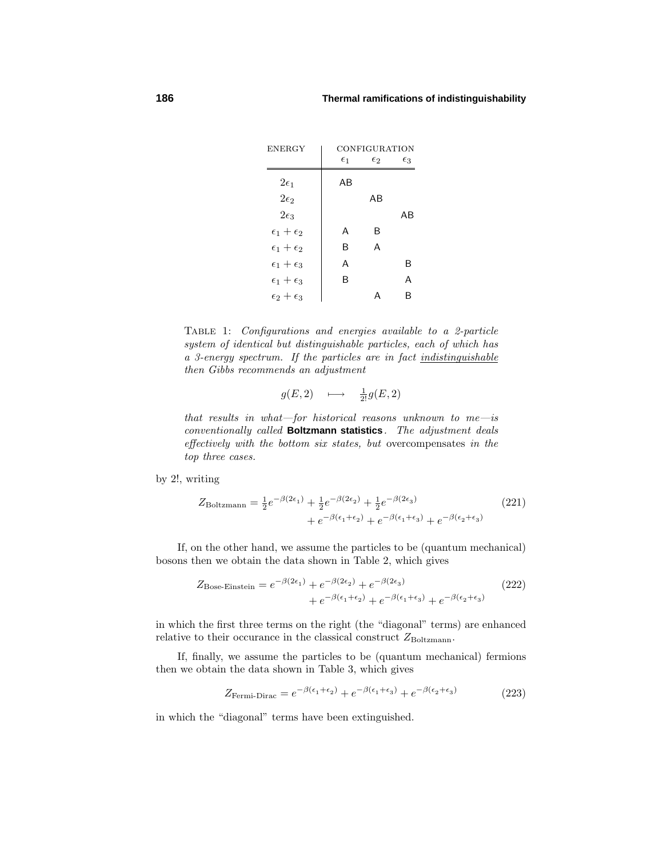

Table 1: Configurations and energies available to a 2-particle system of identical but distinguishable particles, each of which has a 3-energy spectrum. If the particles are in fact indistinguishable then Gibbs recommends an adjustment

$$
g(E,2) \quad \longmapsto \quad \frac{1}{2!}g(E,2)
$$

that results in what—for historical reasons unknown to  $me-$ is conventionally called **Boltzmann statistics**. The adjustment deals  $effectively with the bottom six states, but overcompensates in the$ top three cases.

by 2!, writing

$$
Z_{\text{Boltzmann}} = \frac{1}{2}e^{-\beta(2\epsilon_1)} + \frac{1}{2}e^{-\beta(2\epsilon_2)} + \frac{1}{2}e^{-\beta(2\epsilon_3)} + e^{-\beta(\epsilon_1 + \epsilon_2)} + e^{-\beta(\epsilon_1 + \epsilon_3)} + e^{-\beta(\epsilon_2 + \epsilon_3)}
$$
(221)

If, on the other hand, we assume the particles to be (quantum mechanical) bosons then we obtain the data shown in Table 2, which gives

$$
Z_{\text{Bose-Einstein}} = e^{-\beta(2\epsilon_1)} + e^{-\beta(2\epsilon_2)} + e^{-\beta(2\epsilon_3)} + e^{-\beta(\epsilon_1 + \epsilon_3)} + e^{-\beta(\epsilon_1 + \epsilon_3)} + e^{-\beta(\epsilon_2 + \epsilon_3)}
$$
(222)

in which the first three terms on the right (the "diagonal" terms) are enhanced relative to their occurance in the classical construct  $Z_{\text{Boltzmann}}$ .

If, finally, we assume the particles to be (quantum mechanical) fermions then we obtain the data shown in Table 3, which gives

$$
Z_{\text{Fermi-Dirac}} = e^{-\beta(\epsilon_1 + \epsilon_2)} + e^{-\beta(\epsilon_1 + \epsilon_3)} + e^{-\beta(\epsilon_2 + \epsilon_3)} \tag{223}
$$

in which the "diagonal" terms have been extinguished.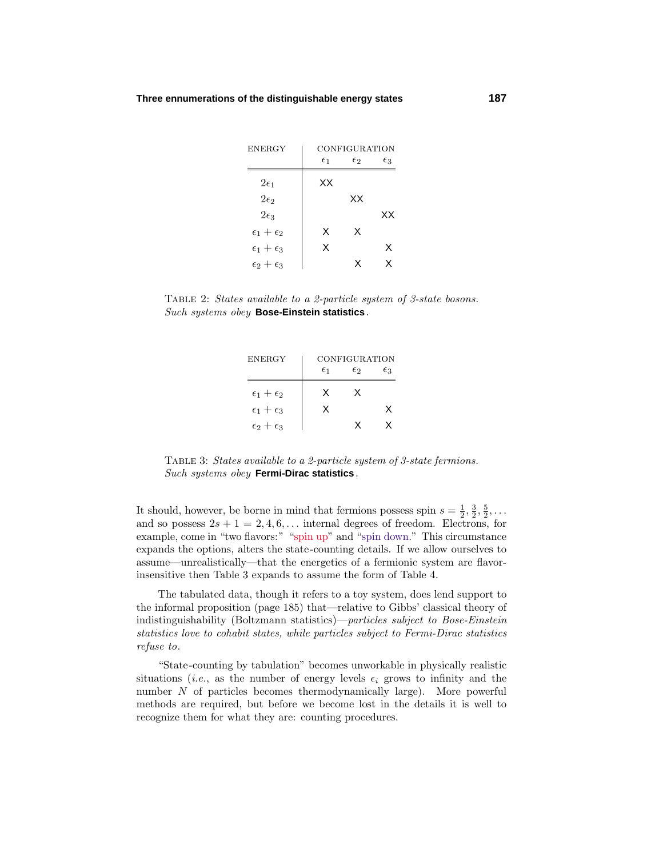| <b>ENERGY</b>           |              | CONFIGURATION |              |
|-------------------------|--------------|---------------|--------------|
|                         | $\epsilon_1$ | $\epsilon_2$  | $\epsilon_3$ |
| $2\epsilon_1$           | ХX           |               |              |
| $2\epsilon_2$           |              | ХX            |              |
| $2\epsilon_3$           |              |               | xх           |
| $\epsilon_1+\epsilon_2$ | X            | X             |              |
| $\epsilon_1+\epsilon_3$ | X            |               | X            |
| $\epsilon_2+\epsilon_3$ |              | x             | x            |

TABLE 2: States available to a 2-particle system of 3-state bosons. Such systems obey **Bose-Einstein statistics**.

| <b>ENERGY</b>           |              | CONFIGURATION |    |
|-------------------------|--------------|---------------|----|
|                         | $\epsilon_1$ | E2            | Eз |
| $\epsilon_1+\epsilon_2$ | x            | x             |    |
| $\epsilon_1+\epsilon_3$ | x            |               | x  |
| $\epsilon_2+\epsilon_3$ |              | x             | x  |

Table 3: States available to a 2-particle system of 3-state fermions. Such systems obey **Fermi-Dirac statistics**.

It should, however, be borne in mind that fermions possess spin  $s = \frac{1}{2}, \frac{3}{2}, \frac{5}{2}, \ldots$ and so possess  $2s + 1 = 2, 4, 6, \ldots$  internal degrees of freedom. Electrons, for example, come in "two flavors:" "spin up" and "spin down." This circumstance expands the options, alters the state-counting details. If we allow ourselves to assume—unrealistically—that the energetics of a fermionic system are flavorinsensitive then Table 3 expands to assume the form of Table 4.

The tabulated data, though it refers to a toy system, does lend support to the informal proposition (page 185) that—relative to Gibbs' classical theory of indistinguishability (Boltzmann statistics)—particles subject to Bose-Einstein statistics love to cohabit states, while particles subject to Fermi-Dirac statistics refuse to.

"State-counting by tabulation" becomes unworkable in physically realistic situations (*i.e.*, as the number of energy levels  $\epsilon_i$  grows to infinity and the number *N* of particles becomes thermodynamically large). More powerful methods are required, but before we become lost in the details it is well to recognize them for what they are: counting procedures.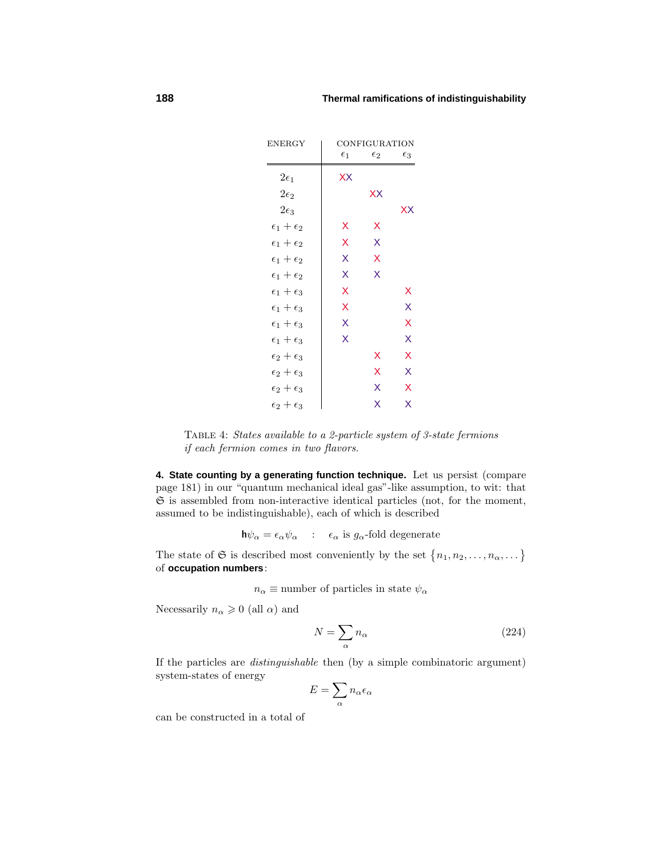| <b>ENERGY</b>           |              | CONFIGURATION |              |
|-------------------------|--------------|---------------|--------------|
|                         | $\epsilon_1$ | $\epsilon_2$  | $\epsilon_3$ |
| $2\epsilon_1$           | XX           |               |              |
| $2\epsilon_2$           |              | XX            |              |
| $2\epsilon_3$           |              |               | XX           |
| $\epsilon_1+\epsilon_2$ | X            | X             |              |
| $\epsilon_1+\epsilon_2$ | X            | X             |              |
| $\epsilon_1+\epsilon_2$ | X            | X             |              |
| $\epsilon_1+\epsilon_2$ | X            | X             |              |
| $\epsilon_1+\epsilon_3$ | X            |               | x            |
| $\epsilon_1+\epsilon_3$ | X            |               | X            |
| $\epsilon_1+\epsilon_3$ | X            |               | X            |
| $\epsilon_1+\epsilon_3$ | X            |               | X            |
| $\epsilon_2+\epsilon_3$ |              | х             | X            |
| $\epsilon_2+\epsilon_3$ |              | X             | X            |
| $\epsilon_2+\epsilon_3$ |              | X             | X            |
| $\epsilon_2+\epsilon_3$ |              | X             | X            |

Table 4: States available to a 2-particle system of 3-state fermions if each fermion comes in two flavors.

**4. State counting by a generating function technique.** Let us persist (compare page 181) in our "quantum mechanical ideal gas"-like assumption, to wit: that  $\mathfrak S$  is assembled from non-interactive identical particles (not, for the moment, assumed to be indistinguishable), each of which is described

 $\mathbf{h}\psi_{\alpha} = \epsilon_{\alpha}\psi_{\alpha}$  :  $\epsilon_{\alpha}$  is  $g_{\alpha}$ -fold degenerate

The state of  $\mathfrak{S}$  is described most conveniently by the set  $\{n_1, n_2, \ldots, n_\alpha, \ldots\}$ of **occupation numbers**:

 $n_{\alpha} \equiv$  number of particles in state  $\psi_{\alpha}$ 

Necessarily  $n_{\alpha} \geqslant 0$  (all  $\alpha$ ) and

$$
N = \sum_{\alpha} n_{\alpha} \tag{224}
$$

If the particles are distinguishable then (by a simple combinatoric argument) system-states of energy

$$
E=\sum_{\alpha}n_{\alpha}\epsilon_{\alpha}
$$

can be constructed in a total of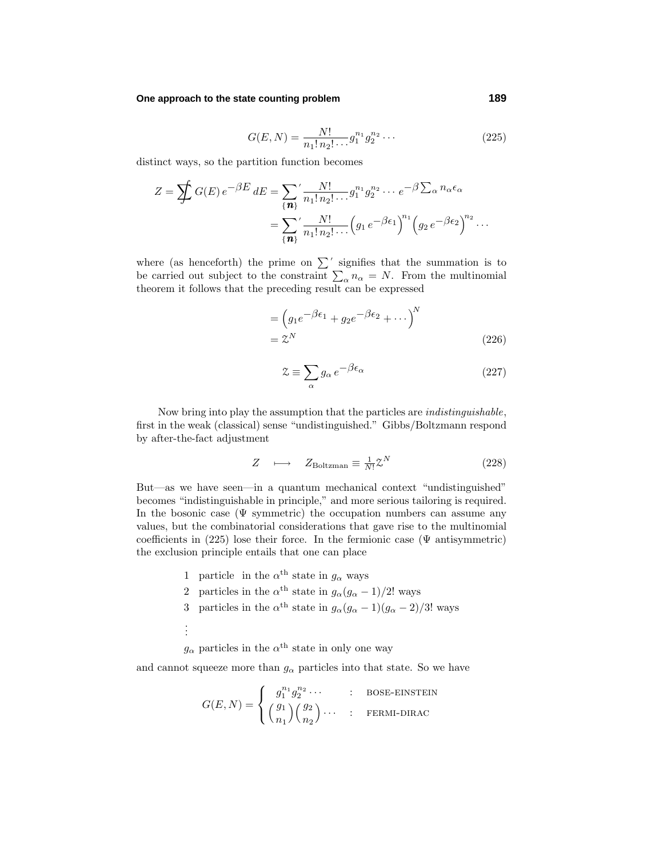### **One approach to the state counting problem 189**

$$
G(E, N) = \frac{N!}{n_1! n_2! \cdots} g_1^{n_1} g_2^{n_2} \cdots
$$
 (225)

distinct ways, so the partition function becomes

$$
Z = \sum_{\{n\}} G(E) e^{-\beta E} dE = \sum_{\{n\}}' \frac{N!}{n_1! n_2! \dots} g_1^{n_1} g_2^{n_2} \dots e^{-\beta \sum_{\alpha} n_{\alpha} \epsilon_{\alpha}}
$$

$$
= \sum_{\{n\}}' \frac{N!}{n_1! n_2! \dots} \left( g_1 e^{-\beta \epsilon_1} \right)^{n_1} \left( g_2 e^{-\beta \epsilon_2} \right)^{n_2} \dots
$$

where (as henceforth) the prime on  $\Sigma'$  signifies that the summation is to be carried out subject to the constraint  $\sum_{\alpha} n_{\alpha} = N$ . From the multinomial theorem it follows that the preceding result can be expressed

$$
= (g_1 e^{-\beta \epsilon_1} + g_2 e^{-\beta \epsilon_2} + \cdots)^N
$$
  
=  $\mathcal{Z}^N$  (226)

$$
\mathcal{Z} \equiv \sum_{\alpha} g_{\alpha} e^{-\beta \epsilon_{\alpha}} \tag{227}
$$

Now bring into play the assumption that the particles are indistinguishable, first in the weak (classical) sense "undistinguished." Gibbs/Boltzmann respond by after-the-fact adjustment

$$
Z \longrightarrow Z_{\text{Boltzman}} \equiv \frac{1}{N!} \mathcal{Z}^N \tag{228}
$$

But—as we have seen—in a quantum mechanical context "undistinguished" becomes "indistinguishable in principle," and more serious tailoring is required. In the bosonic case  $(\Psi \text{ symmetric})$  the occupation numbers can assume any values, but the combinatorial considerations that gave rise to the multinomial coefficients in  $(225)$  lose their force. In the fermionic case ( $\Psi$  antisymmetric) the exclusion principle entails that one can place

- 1 particle in the  $\alpha^{\text{th}}$  state in  $g_{\alpha}$  ways
- 2 particles in the  $\alpha^{\text{th}}$  state in  $g_{\alpha}(g_{\alpha}-1)/2!$  ways
- 3 particles in the  $\alpha^{th}$  state in  $g_{\alpha}(g_{\alpha}-1)(g_{\alpha}-2)/3!$  ways
- . . .

 $g_{\alpha}$  particles in the  $\alpha$ <sup>th</sup> state in only one way

and cannot squeeze more than  $g_\alpha$  particles into that state. So we have

$$
G(E, N) = \begin{cases} g_1^{n_1} g_2^{n_2} \cdots & : \text{ Bose-EINSTEIN} \\ \begin{pmatrix} g_1 \\ n_1 \end{pmatrix} \begin{pmatrix} g_2 \\ n_2 \end{pmatrix} \cdots & : \text{FERMI-DIRAC} \end{cases}
$$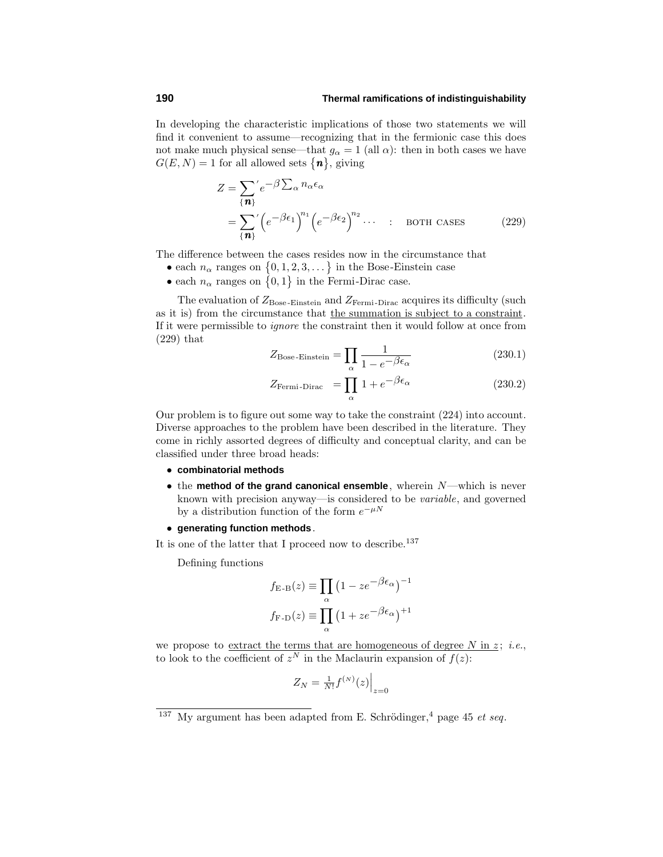In developing the characteristic implications of those two statements we will find it convenient to assume—recognizing that in the fermionic case this does not make much physical sense—that  $g_{\alpha} = 1$  (all  $\alpha$ ): then in both cases we have  $G(E, N) = 1$  for all allowed sets  $\{n\}$ , giving

$$
Z = \sum_{\{\mathbf{n}\}}' e^{-\beta \sum_{\alpha} n_{\alpha} \epsilon_{\alpha}}
$$
  
= 
$$
\sum_{\{\mathbf{n}\}}' \left( e^{-\beta \epsilon_1} \right)^{n_1} \left( e^{-\beta \epsilon_2} \right)^{n_2} \cdots
$$
 is 
$$
BOTH \; CASES
$$
 (229)

The difference between the cases resides now in the circumstance that

- each  $n_{\alpha}$  ranges on  $\{0, 1, 2, 3, \dots\}$  in the Bose-Einstein case
- each  $n_{\alpha}$  ranges on  $\{0,1\}$  in the Fermi-Dirac case.

The evaluation of  $Z_{\text{Bose-Einstein}}$  and  $Z_{\text{Fermi-Dirac}}$  acquires its difficulty (such as it is) from the circumstance that the summation is subject to a constraint. If it were permissible to ignore the constraint then it would follow at once from (229) that

$$
Z_{\text{Bose-Einstein}} = \prod_{\alpha} \frac{1}{1 - e^{-\beta \epsilon_{\alpha}}}
$$
(230.1)

$$
Z_{\text{Fermi-Dirac}} = \prod_{\alpha} 1 + e^{-\beta \epsilon_{\alpha}} \tag{230.2}
$$

Our problem is to figure out some way to take the constraint (224) into account. Diverse approaches to the problem have been described in the literature. They come in richly assorted degrees of difficulty and conceptual clarity, and can be classified under three broad heads:

- **combinatorial methods**
- the **method of the grand canonical ensemble**, wherein *N*—which is never known with precision anyway—is considered to be variable, and governed by a distribution function of the form  $e^{-\mu N}$
- **generating function methods**.

It is one of the latter that I proceed now to describe.<sup>137</sup>

Defining functions

$$
f_{\text{E-B}}(z) \equiv \prod_{\alpha} (1 - z e^{-\beta \epsilon_{\alpha}})^{-1}
$$

$$
f_{\text{F-D}}(z) \equiv \prod_{\alpha} (1 + z e^{-\beta \epsilon_{\alpha}})^{+1}
$$

we propose to extract the terms that are homogeneous of degree  $N$  in  $z$ ; *i.e.*, to look to the coefficient of  $z^N$  in the Maclaurin expansion of  $f(z)$ :

$$
Z_N = \tfrac{1}{N!} f^{(N)}(z) \Big|_{z=0}
$$

My argument has been adapted from E. Schrödinger, $4$  page 45 et seq.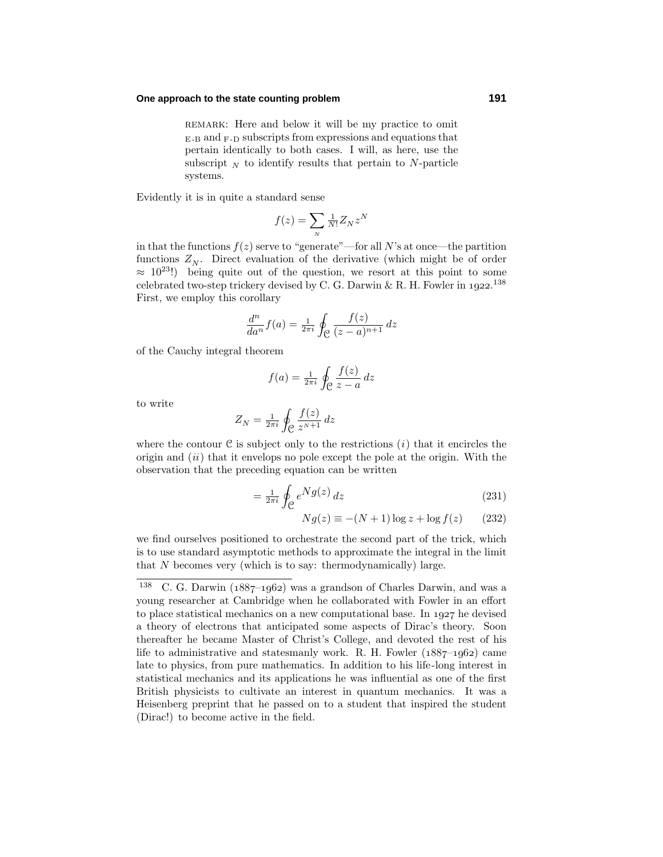### **One approach to the state counting problem 191**

REMARK: Here and below it will be my practice to omit  $E-B$  and  $F-D$  subscripts from expressions and equations that pertain identically to both cases. I will, as here, use the subscript  $_N$  to identify results that pertain to *N*-particle systems.

Evidently it is in quite a standard sense

$$
f(z) = \sum_{N} \frac{1}{N!} Z_N z^N
$$

in that the functions  $f(z)$  serve to "generate"—for all N's at once—the partition functions  $Z_N$ . Direct evaluation of the derivative (which might be of order  $\approx 10^{23}$ !) being quite out of the question, we resort at this point to some celebrated two-step trickery devised by C. G. Darwin & R. H. Fowler in  $1922.<sup>138</sup>$ First, we employ this corollary

$$
\frac{d^n}{da^n}f(a) = \frac{1}{2\pi i} \oint_{\mathcal{C}} \frac{f(z)}{(z-a)^{n+1}} dz
$$

of the Cauchy integral theorem

$$
f(a) = \frac{1}{2\pi i} \oint_{\mathcal{C}} \frac{f(z)}{z - a} dz
$$

to write

$$
Z_N = \frac{1}{2\pi i} \oint_{\mathcal{C}} \frac{f(z)}{z^{N+1}} \, dz
$$

where the contour  $C$  is subject only to the restrictions  $(i)$  that it encircles the origin and  $(ii)$  that it envelops no pole except the pole at the origin. With the observation that the preceding equation can be written

$$
=\frac{1}{2\pi i}\oint_{\mathcal{C}}e^{Ng(z)}\,dz\tag{231}
$$

$$
Ng(z) \equiv -(N+1)\log z + \log f(z) \qquad (232)
$$

we find ourselves positioned to orchestrate the second part of the trick, which is to use standard asymptotic methods to approximate the integral in the limit that *N* becomes very (which is to say: thermodynamically) large.

<sup>&</sup>lt;sup>138</sup> C. G. Darwin ( $1887-1962$ ) was a grandson of Charles Darwin, and was a young researcher at Cambridge when he collaborated with Fowler in an effort to place statistical mechanics on a new computational base. In  $1927$  he devised a theory of electrons that anticipated some aspects of Dirac's theory. Soon thereafter he became Master of Christ's College, and devoted the rest of his life to administrative and statesmanly work. R. H. Fowler  $(1887-1962)$  came late to physics, from pure mathematics. In addition to his life-long interest in statistical mechanics and its applications he was influential as one of the first British physicists to cultivate an interest in quantum mechanics. It was a Heisenberg preprint that he passed on to a student that inspired the student (Dirac!) to become active in the field.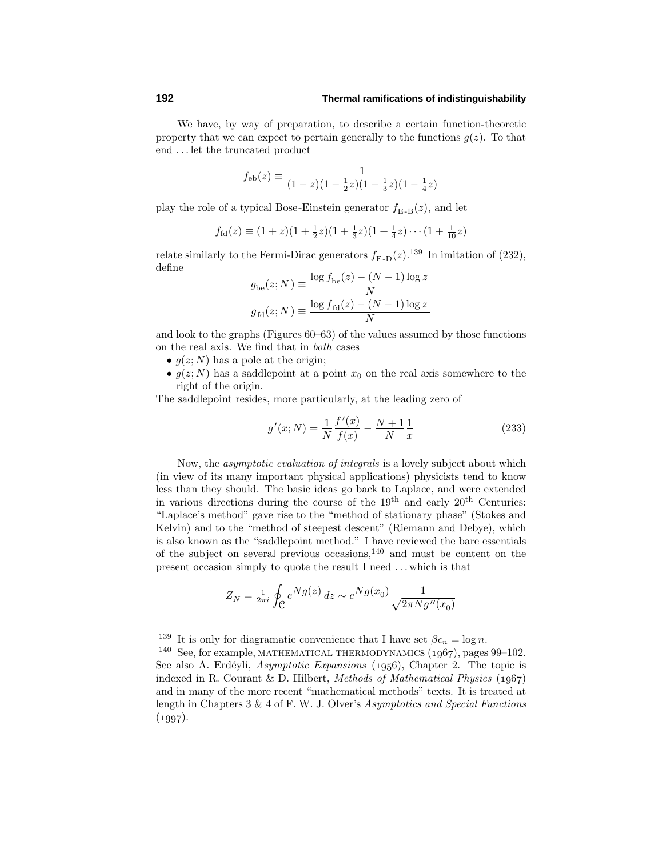We have, by way of preparation, to describe a certain function-theoretic property that we can expect to pertain generally to the functions  $g(z)$ . To that end *...* let the truncated product

$$
f_{\text{eb}}(z) \equiv \frac{1}{(1-z)(1-\frac{1}{2}z)(1-\frac{1}{3}z)(1-\frac{1}{4}z)}
$$

play the role of a typical Bose-Einstein generator  $f_{\text{E-B}}(z)$ , and let

$$
f_{\text{fd}}(z) \equiv (1+z)(1+\frac{1}{2}z)(1+\frac{1}{3}z)(1+\frac{1}{4}z)\cdots(1+\frac{1}{10}z)
$$

relate similarly to the Fermi-Dirac generators  $f_{\text{F-D}}(z)$ .<sup>139</sup> In imitation of (232), define

$$
g_{\text{be}}(z; N) \equiv \frac{\log f_{\text{be}}(z) - (N - 1) \log z}{N}
$$

$$
g_{\text{fd}}(z; N) \equiv \frac{\log f_{\text{fd}}(z) - (N - 1) \log z}{N}
$$

and look to the graphs (Figures 60–63) of the values assumed by those functions on the realaxis. We find that in both cases

- $g(z; N)$  has a pole at the origin;
- $g(z; N)$  has a saddlepoint at a point  $x_0$  on the real axis somewhere to the right of the origin.

The saddlepoint resides, more particularly, at the leading zero of

$$
g'(x;N) = \frac{1}{N} \frac{f'(x)}{f(x)} - \frac{N+1}{N} \frac{1}{x}
$$
 (233)

Now, the asymptotic evaluation of integrals is a lovely subject about which (in view of its many important physicalapplications) physicists tend to know less than they should. The basic ideas go back to Laplace, and were extended in various directions during the course of the  $19<sup>th</sup>$  and early  $20<sup>th</sup>$  Centuries: "Laplace's method" gave rise to the "method of stationary phase" (Stokes and Kelvin) and to the "method of steepest descent" (Riemann and Debye), which is also known as the "saddlepoint method." I have reviewed the bare essentials of the subject on several previous occasions,<sup>140</sup> and must be content on the present occasion simply to quote the result I need *...* which is that

$$
Z_N = \frac{1}{2\pi i} \oint_{\mathcal{C}} e^{Ng(z)} dz \sim e^{Ng(x_0)} \frac{1}{\sqrt{2\pi N g''(x_0)}}
$$

<sup>&</sup>lt;sup>139</sup> It is only for diagramatic convenience that I have set  $\beta \epsilon_n = \log n$ .<br><sup>140</sup> See, for example, MATHEMATICAL THERMODYNAMICS (1967), pages 99–102. See also A. Erdéyli, Asymptotic Expansions  $(1956)$ , Chapter 2. The topic is indexed in R. Courant & D. Hilbert, Methods of Mathematical Physics  $(1967)$ and in many of the more recent "mathematicalmethods" texts. It is treated at length in Chapters 3 & 4 of F. W. J. Olver's Asymptotics and Special Functions  $(1997).$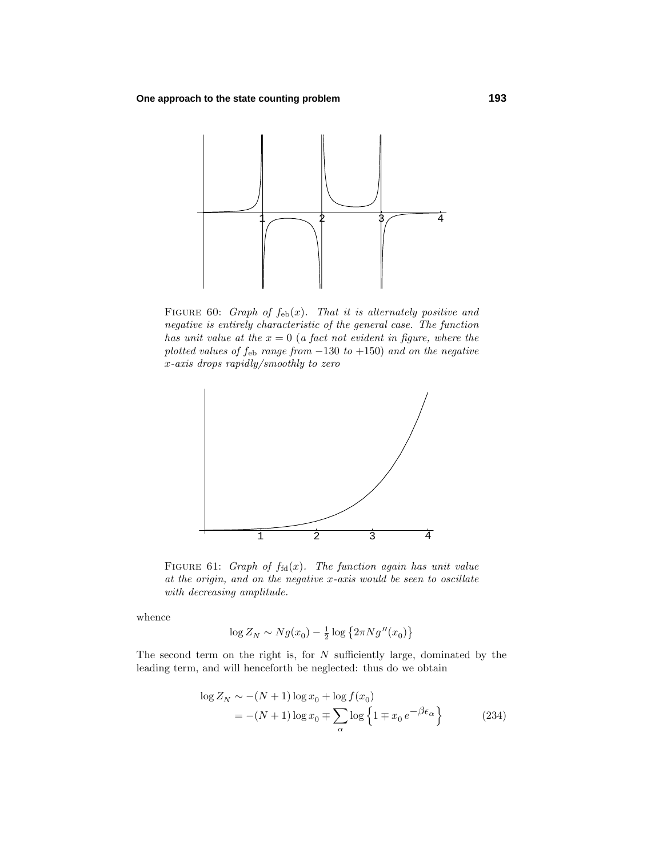

FIGURE 60: Graph of  $f_{eb}(x)$ . That it is alternately positive and negative is entirely characteristic of the general case. The function has unit value at the  $x = 0$  (a fact not evident in figure, where the plotted values of  $f_{eb}$  range from  $-130$  to  $+150$ ) and on the negative *x*-axis drops rapidly/smoothly to zero



FIGURE 61: Graph of  $f_{\text{fd}}(x)$ . The function again has unit value at the origin, and on the negative *x*-axis would be seen to oscillate with decreasing amplitude.

whence

$$
\log Z_N \sim N g(x_0) - \frac{1}{2} \log \left\{ 2 \pi N g''(x_0) \right\}
$$

The second term on the right is, for *N* sufficiently large, dominated by the leading term, and will henceforth be neglected: thus do we obtain

$$
\log Z_N \sim -(N+1)\log x_0 + \log f(x_0)
$$
  
= -(N+1)\log x\_0 \mp \sum\_{\alpha} \log \left\{1 \mp x\_0 e^{-\beta \epsilon\_{\alpha}}\right\} (234)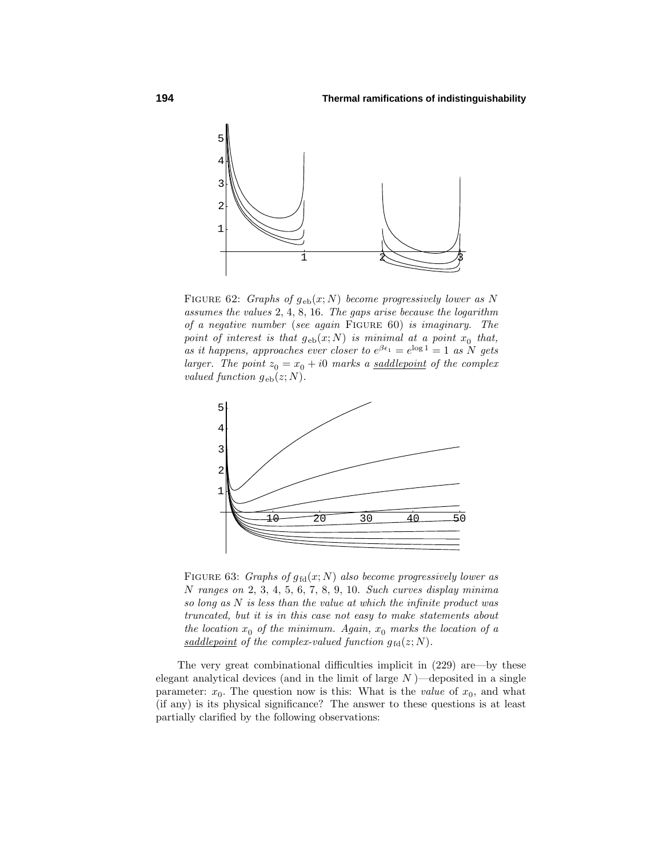

FIGURE 62: Graphs of  $g_{eb}(x; N)$  become progressively lower as N assumes the values 2, 4, 8, 16. The gaps arise because the logarithm of a negative number (see again Figure 60) is imaginary. The point of interest is that  $g_{eb}(x; N)$  is minimal at a point  $x_0$  that, as it happens, approaches ever closer to  $e^{\beta \epsilon_1} = e^{\log 1} = 1$  as N gets larger. The point  $z_0 = x_0 + i0$  marks a <u>saddlepoint</u> of the complex *valued function*  $q_{eb}(z; N)$ .



FIGURE 63: Graphs of  $g_{fd}(x; N)$  also become progressively lower as *N* ranges on 2, 3, 4, 5, 6, 7, 8, 9, 10. Such curves display minima so long as *N* is less than the value at which the infinite product was truncated, but it is in this case not easy to make statements about the location  $x_0$  of the minimum. Again,  $x_0$  marks the location of a saddlepoint of the complex-valued function  $g_{\text{fd}}(z;N)$ .

The very great combinational difficulties implicit in (229) are—by these elegant analytical devices (and in the limit of large *N* )—deposited in a single parameter:  $x_0$ . The question now is this: What is the *value* of  $x_0$ , and what (if any) is its physical significance? The answer to these questions is at least partially clarified by the following observations: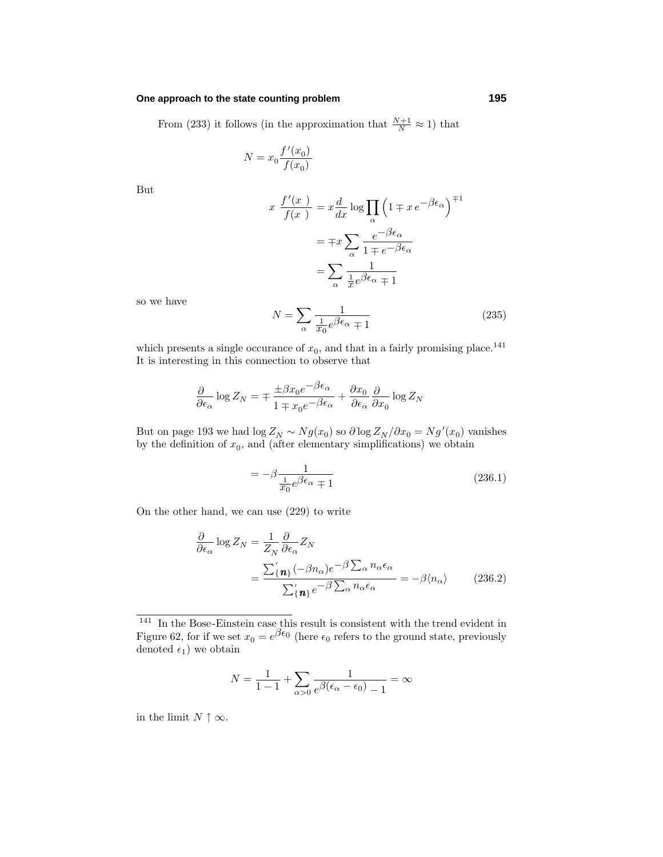### **One approach to the state counting problem 195**

From (233) it follows (in the approximation that  $\frac{N+1}{N} \approx 1$ ) that

$$
N = x_0 \frac{f'(x_0)}{f(x_0)}
$$

But

$$
x \frac{f'(x)}{f(x)} = x \frac{d}{dx} \log \prod_{\alpha} \left( 1 \mp x e^{-\beta \epsilon_{\alpha}} \right)^{\mp 1}
$$

$$
= \mp x \sum_{\alpha} \frac{e^{-\beta \epsilon_{\alpha}}}{1 \mp e^{-\beta \epsilon_{\alpha}}}
$$

$$
= \sum_{\alpha} \frac{1}{\frac{1}{x} e^{\beta \epsilon_{\alpha}} \mp 1}
$$

so we have

$$
N = \sum_{\alpha} \frac{1}{\frac{1}{x_0} e^{\beta \epsilon_{\alpha}} \mp 1}
$$
 (235)

which presents a single occurance of  $x_0$ , and that in a fairly promising place.<sup>141</sup> It is interesting in this connection to observe that

$$
\frac{\partial}{\partial \epsilon_{\alpha}} \log Z_{N} = \mp \frac{\pm \beta x_{0} e^{-\beta \epsilon_{\alpha}}}{1 \mp x_{0} e^{-\beta \epsilon_{\alpha}}} + \frac{\partial x_{0}}{\partial \epsilon_{\alpha}} \frac{\partial}{\partial x_{0}} \log Z_{N}
$$

But on page 193 we had  $\log Z_N \sim Ng(x_0)$  so  $\partial \log Z_N/\partial x_0 = Ng'(x_0)$  vanishes by the definition of  $x_0$ , and (after elementary simplifications) we obtain

$$
=-\beta \frac{1}{\frac{1}{x_0}e^{\beta \epsilon_{\alpha}} \mp 1}
$$
\n(236.1)

On the other hand, we can use (229) to write

$$
\frac{\partial}{\partial \epsilon_{\alpha}} \log Z_{N} = \frac{1}{Z_{N}} \frac{\partial}{\partial \epsilon_{\alpha}} Z_{N}
$$
\n
$$
= \frac{\sum_{\{n\}}^{\prime} (-\beta n_{\alpha}) e^{-\beta \sum_{\alpha} n_{\alpha} \epsilon_{\alpha}}}{\sum_{\{n\}}^{\prime} e^{-\beta \sum_{\alpha} n_{\alpha} \epsilon_{\alpha}}} = -\beta \langle n_{\alpha} \rangle \qquad (236.2)
$$

$$
N = \frac{1}{1-1} + \sum_{\alpha > 0} \frac{1}{e^{\beta(\epsilon_{\alpha} - \epsilon_0)} - 1} = \infty
$$

in the limit  $N \uparrow \infty$ .

 $141$  In the Bose-Einstein case this result is consistent with the trend evident in Figure 62, for if we set  $x_0 = e^{\beta \epsilon_0}$  (here  $\epsilon_0$  refers to the ground state, previously denoted  $\epsilon_1$ ) we obtain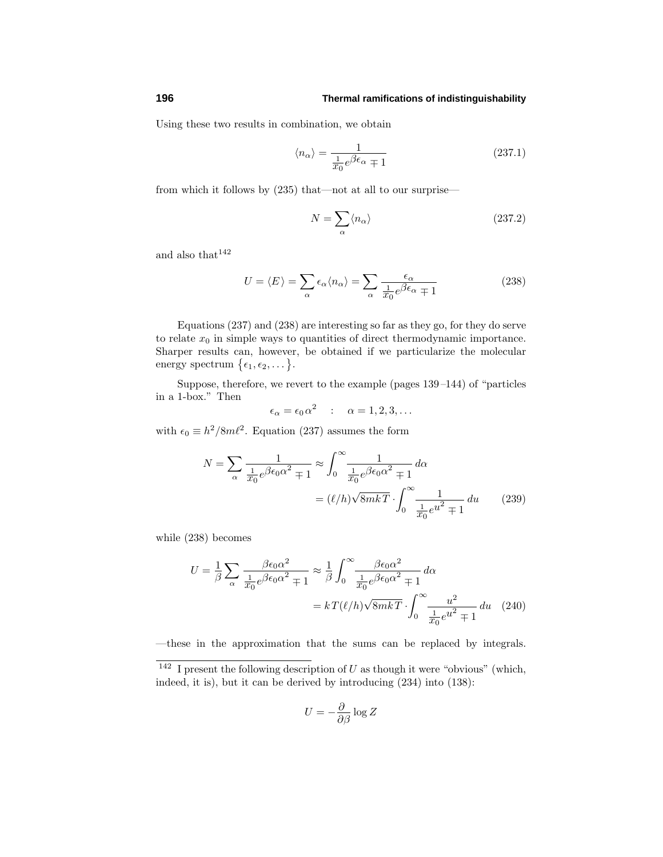Using these two results in combination, we obtain

$$
\langle n_{\alpha} \rangle = \frac{1}{\frac{1}{x_0} e^{\beta \epsilon_{\alpha}} \mp 1} \tag{237.1}
$$

from which it follows by (235) that—not at all to our surprise—

$$
N = \sum_{\alpha} \langle n_{\alpha} \rangle \tag{237.2}
$$

and also that  $142$ 

$$
U = \langle E \rangle = \sum_{\alpha} \epsilon_{\alpha} \langle n_{\alpha} \rangle = \sum_{\alpha} \frac{\epsilon_{\alpha}}{\frac{1}{x_0} e^{\beta \epsilon_{\alpha}} \mp 1}
$$
 (238)

Equations (237) and (238) are interesting so far as they go, for they do serve to relate  $x_0$  in simple ways to quantities of direct thermodynamic importance. Sharper results can, however, be obtained if we particularize the molecular energy spectrum  $\{\epsilon_1, \epsilon_2, \dots\}.$ 

Suppose, therefore, we revert to the example (pages 139–144) of "particles in a 1-box." Then

$$
\epsilon_{\alpha} = \epsilon_0 \, \alpha^2 \quad : \quad \alpha = 1, 2, 3, \dots
$$

with  $\epsilon_0 \equiv h^2/8m\ell^2$ . Equation (237) assumes the form

$$
N = \sum_{\alpha} \frac{1}{\frac{1}{x_0} e^{\beta \epsilon_0 \alpha^2} \mp 1} \approx \int_0^\infty \frac{1}{\frac{1}{x_0} e^{\beta \epsilon_0 \alpha^2} \mp 1} d\alpha
$$

$$
= (\ell/h) \sqrt{8mkT} \cdot \int_0^\infty \frac{1}{\frac{1}{x_0} e^{u^2} \mp 1} du \qquad (239)
$$

while (238) becomes

$$
U = \frac{1}{\beta} \sum_{\alpha} \frac{\beta \epsilon_0 \alpha^2}{\frac{1}{x_0} e^{\beta \epsilon_0 \alpha^2} \mp 1} \approx \frac{1}{\beta} \int_0^\infty \frac{\beta \epsilon_0 \alpha^2}{\frac{1}{x_0} e^{\beta \epsilon_0 \alpha^2} \mp 1} d\alpha
$$

$$
= kT(\ell/h) \sqrt{8mkT} \cdot \int_0^\infty \frac{u^2}{\frac{1}{x_0} e^{u^2} \mp 1} du \quad (240)
$$

—these in the approximation that the sums can be replaced by integrals.

$$
U = -\frac{\partial}{\partial \beta} \log Z
$$

 $\frac{142}{142}$  I present the following description of *U* as though it were "obvious" (which, indeed, it is), but it can be derived by introducing (234) into (138):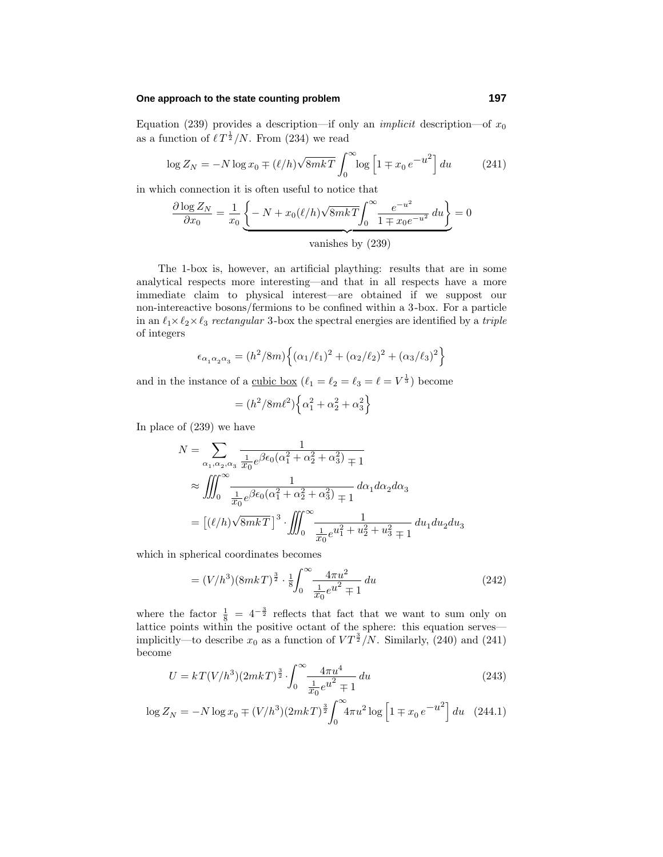### **One approach to the state counting problem 197**

Equation (239) provides a description—if only an *implicit* description—of  $x_0$ as a function of  $\ell T^{\frac{1}{2}}/N$ . From (234) we read

$$
\log Z_N = -N \log x_0 \mp (\ell/h) \sqrt{8mk} \int_0^\infty \log \left[ 1 \mp x_0 e^{-u^2} \right] du \tag{241}
$$

in which connection it is often useful to notice that

$$
\frac{\partial \log Z_N}{\partial x_0} = \frac{1}{x_0} \underbrace{\left\{-N + x_0(\ell/h)\sqrt{8mkT} \int_0^\infty \frac{e^{-u^2}}{1 \mp x_0 e^{-u^2}} du\right\}}_{\text{vanishes by (239)}} = 0
$$

The 1-box is, however, an artificial plaything: results that are in some analytical respects more interesting—and that in all respects have a more immediate claim to physical interest—are obtained if we suppost our non-intereactive bosons/fermions to be confined within a 3-box. For a particle in an  $\ell_1 \times \ell_2 \times \ell_3$  rectangular 3-box the spectral energies are identified by a *triple* of integers

$$
\epsilon_{\alpha_1 \alpha_2 \alpha_3} = (h^2/8m) \left\{ (\alpha_1/\ell_1)^2 + (\alpha_2/\ell_2)^2 + (\alpha_3/\ell_3)^2 \right\}
$$

and in the instance of a <u>cubic box</u>  $(\ell_1 = \ell_2 = \ell_3 = \ell = V^{\frac{1}{3}})$  become

$$
= (h^2/8m\ell^2) \Big\{\alpha_1^2 + \alpha_2^2 + \alpha_3^2\Big\}
$$

In place of (239) we have

$$
N = \sum_{\alpha_1, \alpha_2, \alpha_3} \frac{1}{\frac{1}{x_0} e^{\beta \epsilon_0 (\alpha_1^2 + \alpha_2^2 + \alpha_3^2)} + 1}
$$
  
\n
$$
\approx \iiint_0^\infty \frac{1}{\frac{1}{x_0} e^{\beta \epsilon_0 (\alpha_1^2 + \alpha_2^2 + \alpha_3^2)} + 1} d\alpha_1 d\alpha_2 d\alpha_3
$$
  
\n
$$
= [(\ell/h)\sqrt{8mkT}]^3 \cdot \iiint_0^\infty \frac{1}{\frac{1}{x_0} e^{u_1^2 + u_2^2 + u_3^2} + 1} du_1 du_2 du_3
$$

which in spherical coordinates becomes

$$
= (V/h^3)(8mkT)^{\frac{3}{2}} \cdot \frac{1}{8} \int_0^\infty \frac{4\pi u^2}{\frac{1}{x_0}e^{u^2} \mp 1} du \tag{242}
$$

where the factor  $\frac{1}{8} = 4^{-\frac{3}{2}}$  reflects that fact that we want to sum only on lattice points within the positive octant of the sphere: this equation serves implicitly—to describe  $x_0$  as a function of  $VT^{\frac{3}{2}}/N$ . Similarly, (240) and (241) become

$$
U = kT(V/h^3)(2mkT)^{\frac{3}{2}} \cdot \int_0^\infty \frac{4\pi u^4}{\frac{1}{x_0}e^{u^2} + 1} du
$$
\n(243)

$$
\log Z_N = -N \log x_0 \mp (V/h^3)(2mkT)^{\frac{3}{2}} \int_0^\infty 4\pi u^2 \log \left[1 \mp x_0 e^{-u^2}\right] du \quad (244.1)
$$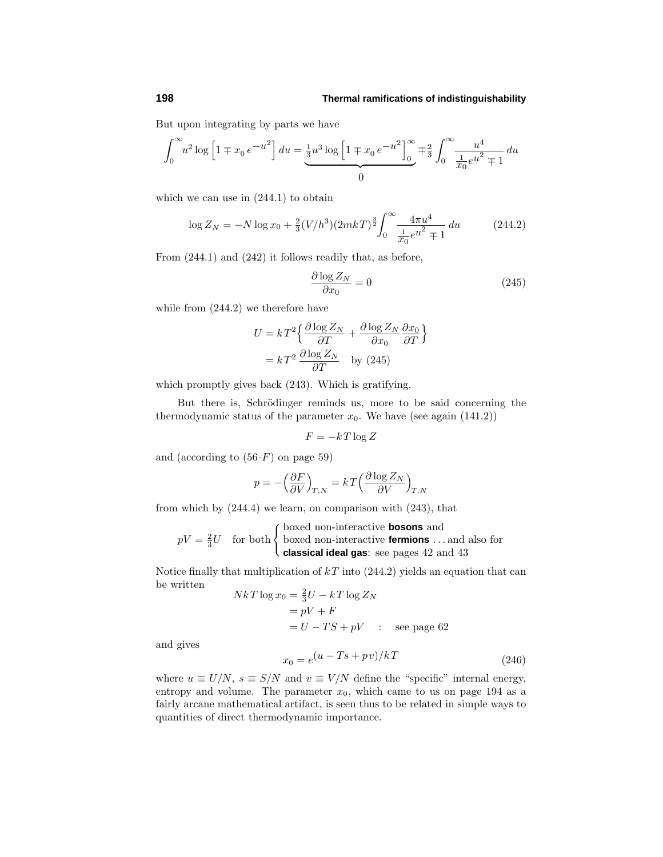But upon integrating by parts we have

$$
\int_0^\infty u^2 \log \left[ 1 \mp x_0 e^{-u^2} \right] du = \underbrace{\frac{1}{3} u^3 \log \left[ 1 \mp x_0 e^{-u^2} \right]_0^\infty}_{0} \mp \frac{2}{3} \int_0^\infty \frac{u^4}{\frac{1}{x_0} e^{u^2} \mp 1} du
$$

which we can use in  $(244.1)$  to obtain

$$
\log Z_N = -N \log x_0 + \frac{2}{3} (V/h^3) (2mkT)^{\frac{3}{2}} \int_0^\infty \frac{4\pi u^4}{\frac{1}{x_0} e^{u^2} + 1} du \tag{244.2}
$$

From (244.1) and (242) it follows readily that, as before,

$$
\frac{\partial \log Z_N}{\partial x_0} = 0\tag{245}
$$

while from  $(244.2)$  we therefore have

$$
U = kT^2 \left\{ \frac{\partial \log Z_N}{\partial T} + \frac{\partial \log Z_N}{\partial x_0} \frac{\partial x_0}{\partial T} \right\}
$$

$$
= kT^2 \frac{\partial \log Z_N}{\partial T} \quad \text{by (245)}
$$

which promptly gives back (243). Which is gratifying.

But there is, Schrödinger reminds us, more to be said concerning the thermodynamic status of the parameter  $x_0$ . We have (see again  $(141.2)$ )

$$
F = -kT\log Z
$$

and (according to  $(56 \cdot F)$  on page 59)

$$
p = -\left(\frac{\partial F}{\partial V}\right)_{T,N} = kT \left(\frac{\partial \log Z_N}{\partial V}\right)_{T,N}
$$

from which by (244.4) we learn, on comparison with (243), that

$$
pV = \frac{2}{3}U
$$
 for both  $\begin{cases} \text{boxed non-interactive bosons and} \\ \text{boxed non-interactive fermions} \dots \text{and also for} \\ \text{classical ideal gas: see pages 42 and 43 \end{cases}$ 

Notice finally that multiplication of *k T* into (244.2) yields an equation that can be written

$$
NkT \log x_0 = \frac{2}{3}U - kT \log Z_N
$$
  
=  $pV + F$   
=  $U - TS + pV$  : see page 62

and gives

$$
x_0 = e^{\left(u - Ts + pv\right)/k}
$$
\n<sup>(246)</sup>

where  $u \equiv U/N$ ,  $s \equiv S/N$  and  $v \equiv V/N$  define the "specific" internal energy, entropy and volume. The parameter  $x_0$ , which came to us on page 194 as a fairly arcane mathematical artifact, is seen thus to be related in simple ways to quantities of direct thermodynamic importance.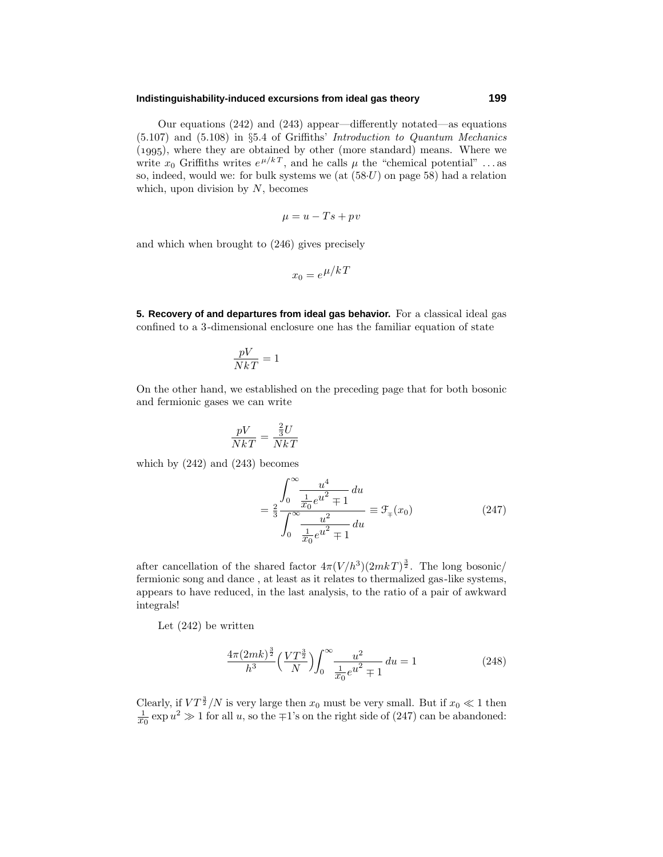### **Indistinguishability-induced excursions from ideal gas theory 199**

Our equations (242) and (243) appear—differently notated—as equations (5.107) and (5.108) in §5.4 of Griffiths' Introduction to Quantum Mechanics  $(1995)$ , where they are obtained by other (more standard) means. Where we write  $x_0$  Griffiths writes  $e^{\mu/k}$ , and he calls  $\mu$  the "chemical potential" ... as so, indeed, would we: for bulk systems we (at (58·*U*) on page 58) had a relation which, upon division by *N*, becomes

$$
\mu = u - Ts + pv
$$

and which when brought to (246) gives precisely

$$
x_0 = e^{\mu/k}
$$

**5. Recovery of and departures from ideal gas behavior.** For a classical ideal gas confined to a 3-dimensional enclosure one has the familiar equation of state

$$
\frac{pV}{NkT} = 1
$$

On the other hand, we established on the preceding page that for both bosonic and fermionic gases we can write

$$
\frac{pV}{NkT} = \frac{\frac{2}{3}U}{NkT}
$$

which by (242) and (243) becomes

$$
= \frac{2}{3} \frac{\int_0^\infty \frac{u^4}{\frac{1}{x_0} e^{u^2} + 1} du}{\int_0^\infty \frac{u^2}{\frac{1}{x_0} e^{u^2} + 1} du} \equiv \mathcal{F}_+(x_0)
$$
(247)

after cancellation of the shared factor  $4\pi (V/h^3)(2mkT)^{\frac{3}{2}}$ . The long bosonic/ fermionic song and dance , at least as it relates to thermalized gas-like systems, appears to have reduced, in the last analysis, to the ratio of a pair of awkward integrals!

Let (242) be written

$$
\frac{4\pi (2mk)^{\frac{3}{2}}}{h^3} \left(\frac{VT^{\frac{3}{2}}}{N}\right) \int_0^\infty \frac{u^2}{\frac{1}{x_0}e^{u^2} \mp 1} du = 1
$$
 (248)

Clearly, if  $VT^{\frac{3}{2}}/N$  is very large then  $x_0$  must be very small. But if  $x_0 \ll 1$  then  $\frac{1}{x_0} \exp u^2 \gg 1$  for all *u*, so the ∓1's on the right side of (247) can be abandoned: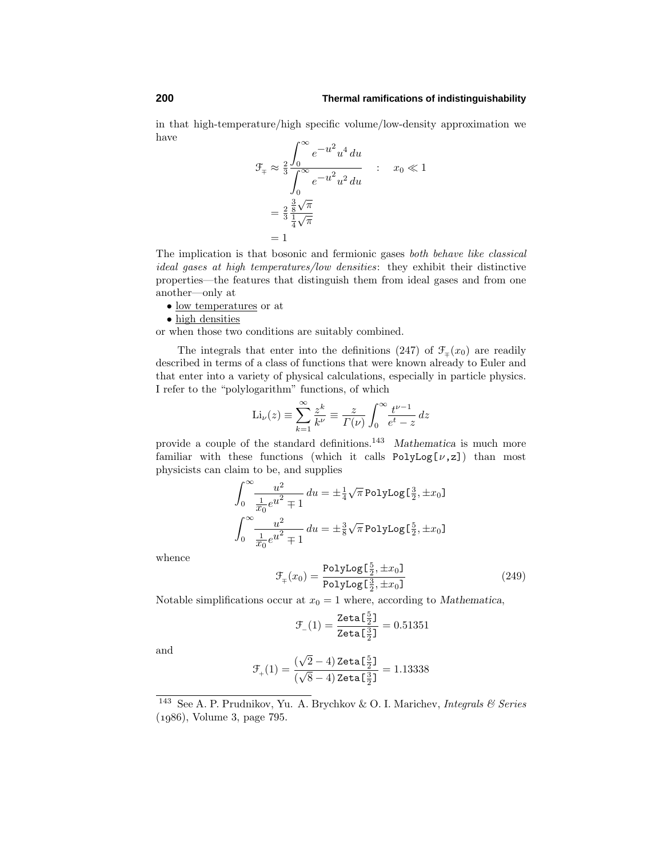in that high-temperature/high specific volume/low-density approximation we have

$$
\mathcal{F}_{\mp} \approx \frac{2}{3} \frac{\int_0^{\infty} e^{-u^2} u^4 du}{\int_0^{\infty} e^{-u^2} u^2 du} \quad : \quad x_0 \ll 1
$$

$$
= \frac{2}{3} \frac{\frac{3}{8} \sqrt{\pi}}{\frac{1}{4} \sqrt{\pi}}
$$

$$
= 1
$$

The implication is that bosonic and fermionic gases both behave like classical ideal gases at high temperatures/low densities: they exhibit their distinctive properties—the features that distinguish them from idealgases and from one another—only at

- low temperatures or at
- high densities

or when those two conditions are suitably combined.

The integrals that enter into the definitions (247) of  $\mathcal{F}_+(x_0)$  are readily described in terms of a class of functions that were known already to Euler and that enter into a variety of physical calculations, especially in particle physics. I refer to the "polylogarithm" functions, of which

$$
\mathrm{Li}_{\nu}(z) \equiv \sum_{k=1}^{\infty} \frac{z^k}{k^{\nu}} \equiv \frac{z}{\Gamma(\nu)} \int_0^{\infty} \frac{t^{\nu-1}}{e^t - z} dz
$$

provide a couple of the standard definitions.<sup>143</sup> *Mathematica* is much more familiar with these functions (which it calls  $PolyLog[\nu, z])$  than most physicists can claim to be, and supplies

$$
\int_0^\infty \frac{u^2}{\frac{1}{x_0}e^{u^2} \mp 1} du = \pm \frac{1}{4} \sqrt{\pi} \text{PolyLog}[\frac{3}{2}, \pm x_0]
$$

$$
\int_0^\infty \frac{u^2}{\frac{1}{x_0}e^{u^2} \mp 1} du = \pm \frac{3}{8} \sqrt{\pi} \text{PolyLog}[\frac{5}{2}, \pm x_0]
$$

whence

$$
\mathcal{F}_{\mp}(x_0) = \frac{\text{PolyLog} \left[\frac{5}{2}, \pm x_0\right]}{\text{PolyLog} \left[\frac{3}{2}, \pm x_0\right]}
$$
\n(249)

Notable simplifications occur at  $x_0 = 1$  where, according to *Mathematica*,

$$
\mathcal{F}_{-}(1) = \frac{\text{Zeta} \left[\frac{5}{2}\right]}{\text{Zeta} \left[\frac{3}{2}\right]} = 0.51351
$$

and

$$
\mathfrak{F}_{_+}(1)=\frac{(\sqrt{2}-4)\, \text{Zeta}\, [\frac{5}{2}]}{(\sqrt{8}-4)\, \text{Zeta}\, [\frac{3}{2}]}=1.13338
$$

<sup>&</sup>lt;sup>143</sup> See A. P. Prudnikov, Yu. A. Brychkov & O. I. Marichev, *Integrals & Series* (1986), Volume 3, page 795.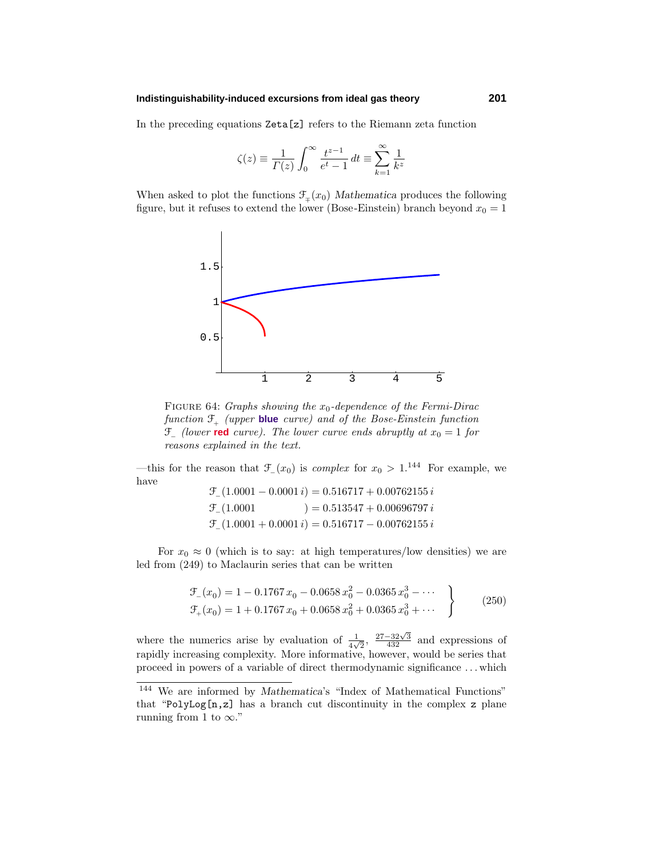### **Indistinguishability-induced excursions from ideal gas theory 201**

In the preceding equations Zeta[z] refers to the Riemann zeta function

$$
\zeta(z) \equiv \frac{1}{\Gamma(z)} \int_0^\infty \frac{t^{z-1}}{e^t - 1} dt \equiv \sum_{k=1}^\infty \frac{1}{k^z}
$$

When asked to plot the functions  $\mathcal{F}_+(x_0)$  *Mathematica* produces the following figure, but it refuses to extend the lower (Bose-Einstein) branch beyond  $x_0 = 1$ 



FIGURE 64: *Graphs showing the*  $x_0$ -dependence of the Fermi-Dirac function  $\mathfrak{F}_{+}$  (upper **blue** curve) and of the Bose-Einstein function  $\mathcal{F}_-$  (lower **red** curve). The lower curve ends abruptly at  $x_0 = 1$  for reasons explained in the text.

—this for the reason that  $\mathcal{F}(x_0)$  is *complex* for  $x_0 > 1$ .<sup>144</sup> For example, we have F−(1*.*0001 − 0*.*0001 *i*)=0*.*516717 + 0*.*00762155 *i*

|                          | $U_{-}(1.0001 - 0.0001 i) = 0.510111 + 0.00102133 i$          |
|--------------------------|---------------------------------------------------------------|
| $\mathcal{F}_{(1.0001)}$ | $) = 0.513547 + 0.00696797 i$                                 |
|                          | $\mathcal{F}_{(1.0001 + 0.0001 i)} = 0.516717 - 0.00762155 i$ |

For  $x_0 \approx 0$  (which is to say: at high temperatures/low densities) we are led from (249) to Maclaurin series that can be written

$$
\mathcal{F}_{-}(x_0) = 1 - 0.1767 x_0 - 0.0658 x_0^2 - 0.0365 x_0^3 - \cdots
$$
  
\n
$$
\mathcal{F}_{+}(x_0) = 1 + 0.1767 x_0 + 0.0658 x_0^2 + 0.0365 x_0^3 + \cdots
$$
\n(250)

where the numerics arise by evaluation of  $\frac{1}{4\sqrt{2}}$ ,  $\frac{27-32\sqrt{3}}{432}$  and expressions of rapidly increasing complexity. More informative, however, would be series that proceed in powers of a variable of direct thermodynamic significance *...* which

<sup>&</sup>lt;sup>144</sup> We are informed by *Mathematica*'s "Index of Mathematical Functions" that "PolyLog[n,z] has a branch cut discontinuity in the complex z plane running from 1 to  $\infty$ ."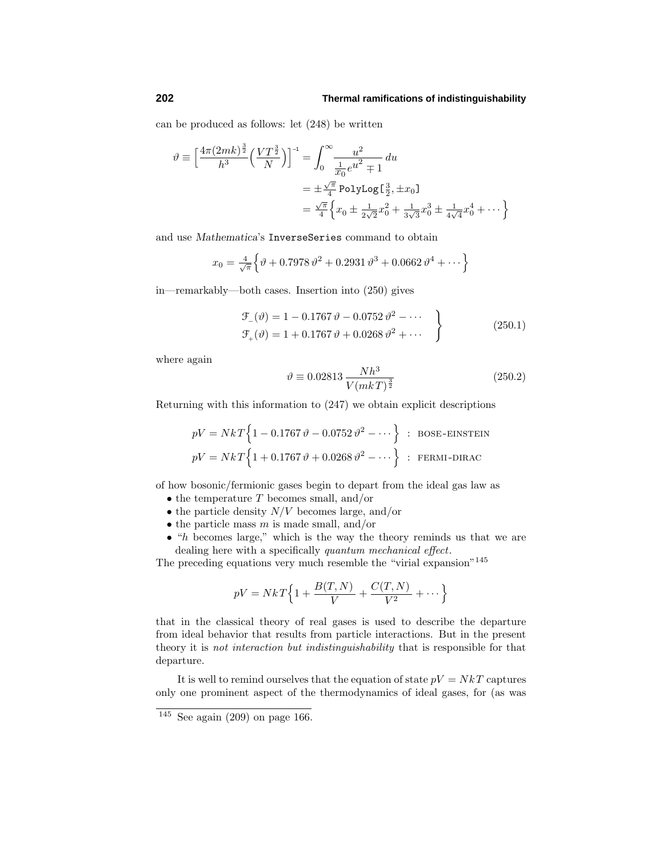can be produced as follows: let (248) be written

$$
\vartheta \equiv \left[\frac{4\pi (2mk)^{\frac{3}{2}}}{h^3} \left(\frac{VT^{\frac{3}{2}}}{N}\right)\right]^{-1} = \int_0^\infty \frac{u^2}{\frac{1}{x_0}e^{u^2} \mp 1} du
$$
  
=  $\pm \frac{\sqrt{\pi}}{4} \text{PolyLog}[\frac{3}{2}, \pm x_0]$   
=  $\frac{\sqrt{\pi}}{4} \left\{ x_0 \pm \frac{1}{2\sqrt{2}}x_0^2 + \frac{1}{3\sqrt{3}}x_0^3 \pm \frac{1}{4\sqrt{4}}x_0^4 + \cdots \right\}$ 

and use *Mathematica*'s InverseSeries command to obtain

$$
x_0 = \frac{4}{\sqrt{\pi}} \Big\{ \vartheta + 0.7978 \, \vartheta^2 + 0.2931 \, \vartheta^3 + 0.0662 \, \vartheta^4 + \dots \Big\}
$$

in—remarkably—both cases. Insertion into (250) gives

$$
\mathcal{F}_{-}(\vartheta) = 1 - 0.1767 \vartheta - 0.0752 \vartheta^{2} - \cdots
$$
  
\n
$$
\mathcal{F}_{+}(\vartheta) = 1 + 0.1767 \vartheta + 0.0268 \vartheta^{2} + \cdots
$$
\n(250.1)

where again

$$
\vartheta \equiv 0.02813 \, \frac{Nh^3}{V(mk)^{\frac{3}{2}}} \tag{250.2}
$$

Returning with this information to (247) we obtain explicit descriptions

$$
pV = NkT\{1 - 0.1767 \vartheta - 0.0752 \vartheta^2 - \cdots\} : \text{BOSE-EINSTEIN}
$$
  

$$
pV = NkT\{1 + 0.1767 \vartheta + 0.0268 \vartheta^2 - \cdots\} : \text{FERMI-DIRAC}
$$

of how bosonic/fermionic gases begin to depart from the idealgas law as

- the temperature *T* becomes small, and/or
- the particle density *N/V* becomes large, and/or
- the particle mass *m* is made small, and/or
- "*h* becomes large," which is the way the theory reminds us that we are dealing here with a specifically quantum mechanical effect.

The preceding equations very much resemble the "virial expansion"<sup>145</sup>

$$
pV = NkT\Big\{1 + \frac{B(T,N)}{V} + \frac{C(T,N)}{V^2} + \cdots\Big\}
$$

that in the classical theory of real gases is used to describe the departure from ideal behavior that results from particle interactions. But in the present theory it is not interaction but indistinguishability that is responsible for that departure.

It is well to remind ourselves that the equation of state  $pV = NkT$  captures only one prominent aspect of the thermodynamics of ideal gases, for (as was

 $\overline{145}$  See again (209) on page 166.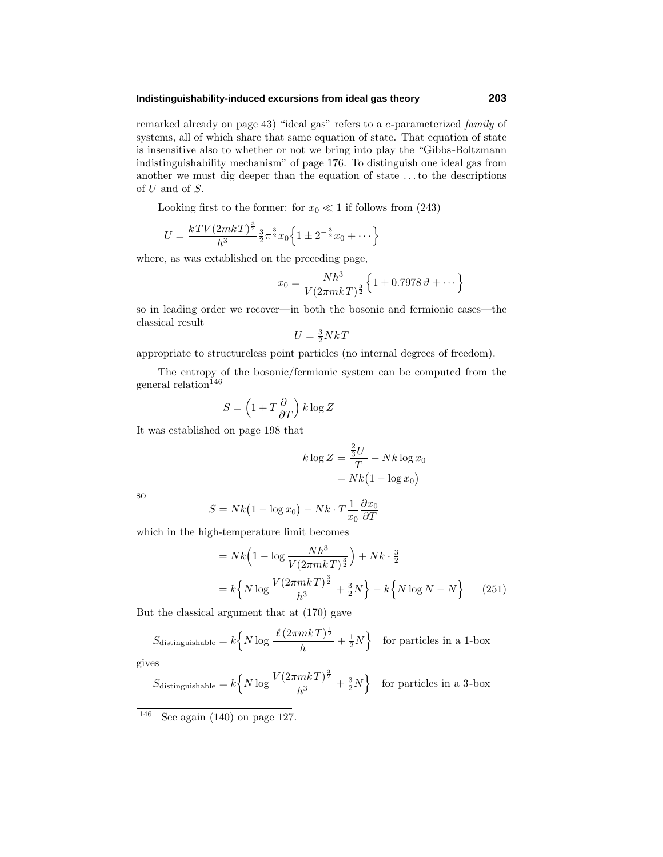### **Indistinguishability-induced excursions from ideal gas theory 203**

remarked already on page 43) "ideal gas" refers to a *c*-parameterized family of systems, all of which share that same equation of state. That equation of state is insensitive also to whether or not we bring into play the "Gibbs-Boltzmann indistinguishability mechanism" of page 176. To distinguish one ideal gas from another we must dig deeper than the equation of state *...*to the descriptions of *U* and of *S*.

Looking first to the former: for  $x_0 \ll 1$  if follows from (243)

$$
U = \frac{kTV(2mkT)^{\frac{3}{2}}}{h^3} \frac{3}{2}\pi^{\frac{3}{2}}x_0 \left\{ 1 \pm 2^{-\frac{3}{2}}x_0 + \cdots \right\}
$$

where, as was extablished on the preceding page,

$$
x_0 = \frac{Nh^3}{V(2\pi mkT)^{\frac{3}{2}}} \Big\{ 1 + 0.7978 \,\vartheta + \cdots \Big\}
$$

so in leading order we recover—in both the bosonic and fermionic cases—the classical result

$$
U = \frac{3}{2}Nk
$$

appropriate to structureless point particles (no internal degrees of freedom).

The entropy of the bosonic/fermionic system can be computed from the general relation<br> $\rm ^{146}$ 

$$
S = \left(1 + T\frac{\partial}{\partial T}\right)k\log Z
$$

It was established on page 198 that

$$
k \log Z = \frac{\frac{2}{3}U}{T} - Nk \log x_0
$$

$$
= Nk(1 - \log x_0)
$$

so

$$
S = Nk(1 - \log x_0) - Nk \cdot T \frac{1}{x_0} \frac{\partial x_0}{\partial T}
$$

which in the high-temperature limit becomes

$$
= Nk \left( 1 - \log \frac{Nh^3}{V(2\pi mkT)^{\frac{3}{2}}} \right) + Nk \cdot \frac{3}{2}
$$

$$
= k \left\{ N \log \frac{V(2\pi mkT)^{\frac{3}{2}}}{h^3} + \frac{3}{2}N \right\} - k \left\{ N \log N - N \right\} \qquad (251)
$$

But the classical argument that at (170) gave

$$
S_{\text{distinguishable}} = k \left\{ N \log \frac{\ell (2\pi mkT)^{\frac{1}{2}}}{h} + \frac{1}{2}N \right\} \text{ for particles in a 1-box}
$$

gives

$$
S_{\text{distinguishable}} = k \left\{ N \log \frac{V(2\pi mkT)^{\frac{3}{2}}}{h^3} + \frac{3}{2}N \right\} \text{ for particles in a 3-box}
$$

 $146$  See again (140) on page 127.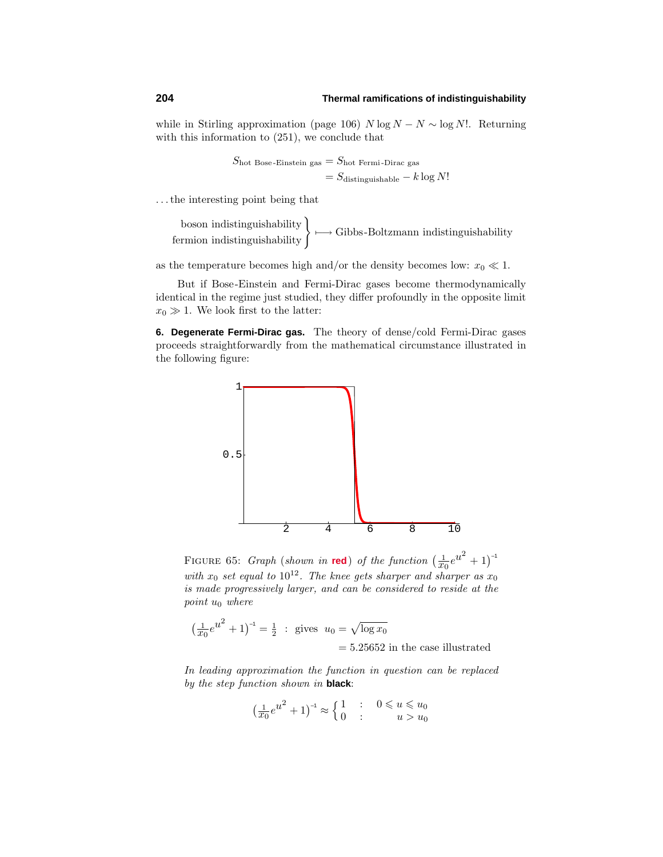while in Stirling approximation (page 106)  $N \log N - N \sim \log N!$ . Returning with this information to (251), we conclude that

$$
S_{\text{hot Bose-Einstein gas}} = S_{\text{hot Fermi-Dirac gas}}
$$

$$
= S_{\text{distinguishable}} - k \log N!
$$

*...*the interesting point being that

boson indistinguishability<br>  $\left\{\mapsto\text{Gibbs-Boltzmann indistinguishability}\right\}$ 

as the temperature becomes high and/or the density becomes low:  $x_0 \ll 1$ .

But if Bose-Einstein and Fermi-Dirac gases become thermodynamically identical in the regime just studied, they differ profoundly in the opposite limit  $x_0 \gg 1$ . We look first to the latter:

**6. Degenerate Fermi-Dirac gas.** The theory of dense/cold Fermi-Dirac gases proceeds straightforwardly from the mathematical circumstance illustrated in the following figure:



FIGURE 65: *Graph* (shown in **red**) of the function  $\left(\frac{1}{x_0}e^{u^2} + 1\right)^{-1}$ with  $x_0$  set equal to  $10^{12}$ . The knee gets sharper and sharper as  $x_0$ is made progressively larger, and can be considered to reside at the point *u*<sup>0</sup> where

$$
\left(\frac{1}{x_0}e^{u^2} + 1\right)^{-1} = \frac{1}{2} \text{ : gives } u_0 = \sqrt{\log x_0}
$$

$$
= 5.25652 \text{ in the case illustrated}
$$

In leading approximation the function in question can be replaced by the step function shown in **black**:

$$
\left(\frac{1}{x_0}e^{u^2} + 1\right)^{-1} \approx \begin{cases} 1 & \text{if } 0 \le u \le u_0 \\ 0 & \text{if } u > u_0 \end{cases}
$$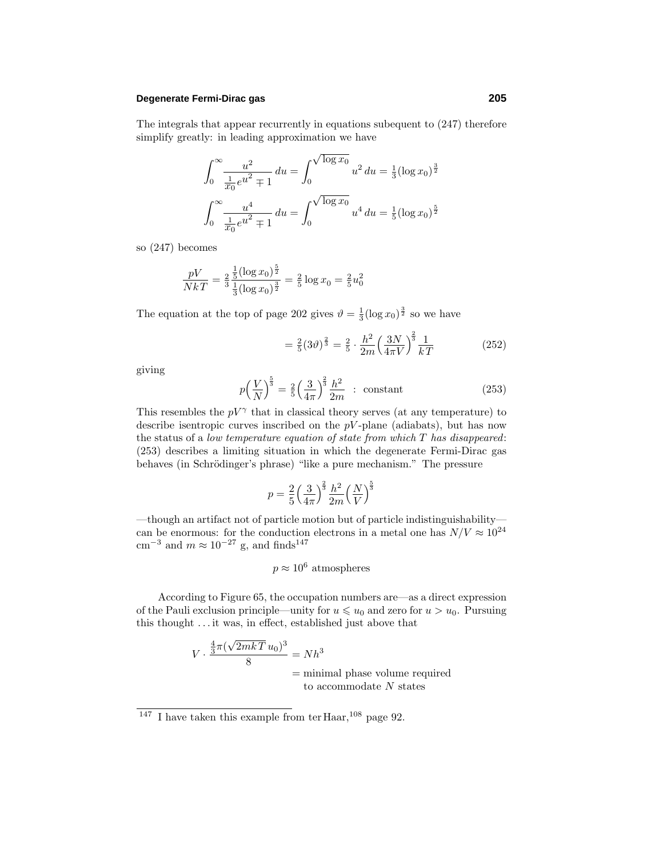### **Degenerate Fermi-Dirac gas 205**

The integrals that appear recurrently in equations subequent to (247) therefore simplify greatly: in leading approximation we have

$$
\int_0^\infty \frac{u^2}{\frac{1}{x_0}e^{u^2} \pm 1} du = \int_0^{\sqrt{\log x_0}} u^2 du = \frac{1}{3} (\log x_0)^{\frac{3}{2}}
$$

$$
\int_0^\infty \frac{u^4}{\frac{1}{x_0}e^{u^2} \pm 1} du = \int_0^{\sqrt{\log x_0}} u^4 du = \frac{1}{5} (\log x_0)^{\frac{5}{2}}
$$

so (247) becomes

$$
\frac{pV}{NkT} = \frac{2}{3} \frac{\frac{1}{5} (\log x_0)^{\frac{5}{2}}}{\frac{1}{3} (\log x_0)^{\frac{3}{2}}} = \frac{2}{5} \log x_0 = \frac{2}{5} u_0^2
$$

The equation at the top of page 202 gives  $\vartheta = \frac{1}{3} (\log x_0)^{\frac{3}{2}}$  so we have

$$
= \frac{2}{5}(3\vartheta)^{\frac{2}{3}} = \frac{2}{5} \cdot \frac{h^2}{2m} \left(\frac{3N}{4\pi V}\right)^{\frac{2}{3}} \frac{1}{kT}
$$
(252)

giving

$$
p\left(\frac{V}{N}\right)^{\frac{5}{3}} = \frac{2}{5}\left(\frac{3}{4\pi}\right)^{\frac{2}{3}}\frac{h^2}{2m} \text{ : constant} \tag{253}
$$

This resembles the  $pV^{\gamma}$  that in classical theory serves (at any temperature) to describe isentropic curves inscribed on the *pV* -plane (adiabats), but has now the status of a low temperature equation of state from which *T* has disappeared: (253) describes a limiting situation in which the degenerate Fermi-Dirac gas behaves (in Schrödinger's phrase) "like a pure mechanism." The pressure

$$
p = \frac{2}{5} \left(\frac{3}{4\pi}\right)^{\frac{2}{3}} \frac{h^2}{2m} \left(\frac{N}{V}\right)^{\frac{5}{3}}
$$

—though an artifact not of particle motion but of particle indistinguishability can be enormous: for the conduction electrons in a metal one has  $N/V \approx 10^{24}$ cm<sup>-3</sup> and  $m \approx 10^{-27}$  g, and finds<sup>147</sup>

$$
p \approx 10^6
$$
 atmospheres

According to Figure 65, the occupation numbers are—as a direct expression of the Pauli exclusion principle—unity for  $u \leq u_0$  and zero for  $u > u_0$ . Pursuing this thought *...* it was, in effect, established just above that

$$
V \cdot \frac{\frac{4}{3}\pi(\sqrt{2mkT}u_0)^3}{8} = Nh^3
$$
  
= minimal phase volume required  
to accommodate N states

 $\frac{147}{147}$  I have taken this example from ter Haar,<sup>108</sup> page 92.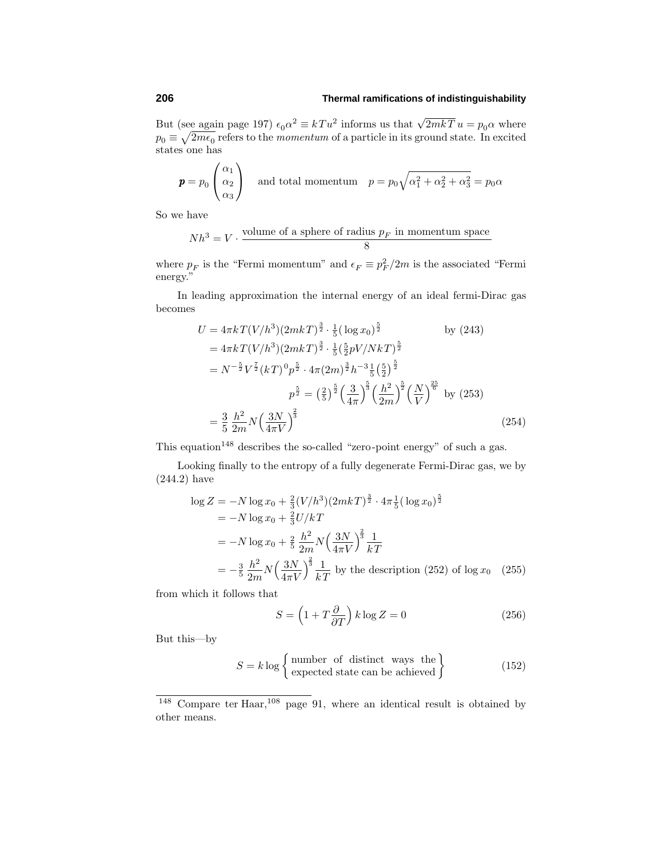But (see again page 197)  $\epsilon_0 \alpha^2 \equiv kT u^2$  informs us that  $\sqrt{2mkT} u = p_0 \alpha$  where  $p_0 \equiv \sqrt{2m\epsilon_0}$  refers to the *momentum* of a particle in its ground state. In excited states one has

$$
\mathbf{p} = p_0 \begin{pmatrix} \alpha_1 \\ \alpha_2 \\ \alpha_3 \end{pmatrix} \quad \text{and total momentum} \quad p = p_0 \sqrt{\alpha_1^2 + \alpha_2^2 + \alpha_3^2} = p_0 \alpha
$$

So we have

$$
Nh^3 = V \cdot \frac{\text{volume of a sphere of radius } p_F \text{ in momentum space}}{8}
$$

where  $p_F$  is the "Fermi momentum" and  $\epsilon_F \equiv p_F^2/2m$  is the associated "Fermi energy."

In leading approximation the internal energy of an ideal fermi-Dirac gas becomes

$$
U = 4\pi k \, T (V/h^3) (2mkT)^{\frac{3}{2}} \cdot \frac{1}{5} (\log x_0)^{\frac{5}{2}} \qquad \text{by (243)}
$$
  
\n
$$
= 4\pi k \, T (V/h^3) (2mkT)^{\frac{3}{2}} \cdot \frac{1}{5} (\frac{5}{2}pV/NkT)^{\frac{5}{2}}
$$
  
\n
$$
= N^{-\frac{5}{2}} V^{\frac{7}{2}} (kT)^0 p^{\frac{5}{2}} \cdot 4\pi (2m)^{\frac{3}{2}} h^{-3} \frac{1}{5} (\frac{5}{2})^{\frac{5}{2}}
$$
  
\n
$$
p^{\frac{5}{2}} = (\frac{2}{5})^{\frac{5}{2}} (\frac{3}{4\pi})^{\frac{5}{3}} (\frac{h^2}{2m})^{\frac{5}{2}} (\frac{N}{V})^{\frac{25}{6}}
$$
 by (253)  
\n
$$
= \frac{3}{5} \frac{h^2}{2m} N (\frac{3N}{4\pi V})^{\frac{2}{3}}
$$
(254)

This equation<sup>148</sup> describes the so-called "zero-point energy" of such a gas.

Looking finally to the entropy of a fully degenerate Fermi-Dirac gas, we by (244.2) have

$$
\log Z = -N \log x_0 + \frac{2}{3} (V/h^3) (2mkT)^{\frac{3}{2}} \cdot 4\pi \frac{1}{5} (\log x_0)^{\frac{5}{2}}
$$
  
= -N \log x\_0 + \frac{2}{3} U/kT  
= -N \log x\_0 + \frac{2}{5} \frac{h^2}{2m} N \left(\frac{3N}{4\pi V}\right)^{\frac{2}{3}} \frac{1}{kT}  
= -\frac{3}{5} \frac{h^2}{2m} N \left(\frac{3N}{4\pi V}\right)^{\frac{2}{3}} \frac{1}{kT} \text{ by the description (252) of log } x\_0 \quad (255)

from which it follows that

$$
S = \left(1 + T\frac{\partial}{\partial T}\right)k\log Z = 0\tag{256}
$$

But this—by

$$
S = k \log \left\{ \begin{array}{l} \text{number of distinct ways the} \\ \text{expected state can be achieved} \end{array} \right\} \tag{152}
$$

 $\frac{148}{148}$  Compare ter Haar,<sup>108</sup> page 91, where an identical result is obtained by other means.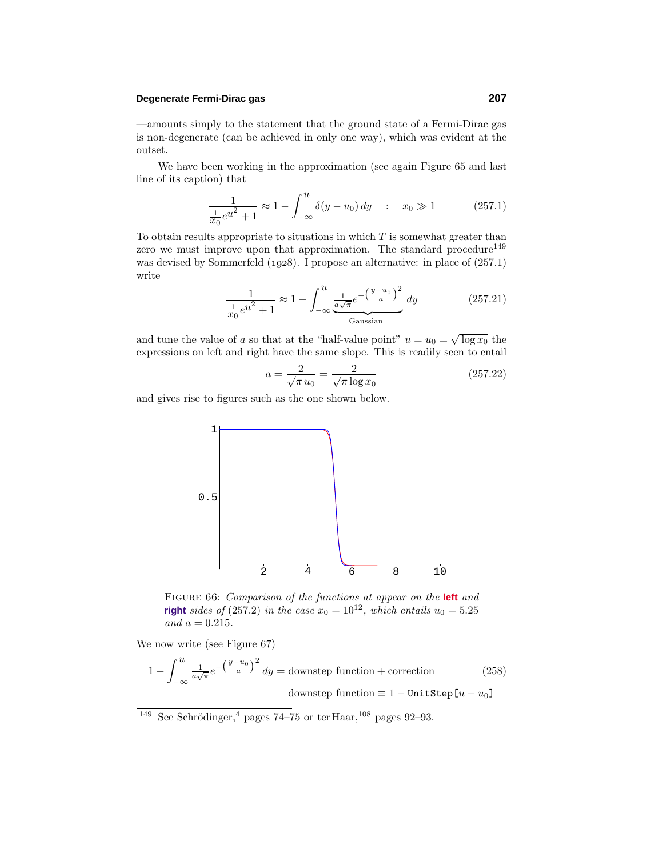## **Degenerate Fermi-Dirac gas 207**

—amounts simply to the statement that the ground state of a Fermi-Dirac gas is non-degenerate (can be achieved in only one way), which was evident at the outset.

We have been working in the approximation (see again Figure 65 and last line of its caption) that

$$
\frac{1}{\frac{1}{x_0}e^{u^2} + 1} \approx 1 - \int_{-\infty}^{u} \delta(y - u_0) \, dy \quad : \quad x_0 \gg 1 \tag{257.1}
$$

To obtain results appropriate to situations in which *T* is somewhat greater than zero we must improve upon that approximation. The standard procedure<sup>149</sup> was devised by Sommerfeld (1928). I propose an alternative: in place of  $(257.1)$ write

$$
\frac{1}{\frac{1}{x_0}e^{u^2} + 1} \approx 1 - \int_{-\infty}^{u} \underbrace{\frac{1}{a\sqrt{\pi}}e^{-\left(\frac{y-u_0}{a}\right)^2}}_{\text{Gaussian}} dy \tag{257.21}
$$

and tune the value of *a* so that at the "half-value point"  $u = u_0 = \sqrt{\log x_0}$  the expressions on left and right have the same slope. This is readily seen to entail

$$
a = \frac{2}{\sqrt{\pi} u_0} = \frac{2}{\sqrt{\pi \log x_0}}
$$
 (257.22)

and gives rise to figures such as the one shown below.



Figure 66: Comparison of the functions at appear on the **left** and **right** sides of (257.2) in the case  $x_0 = 10^{12}$ , which entails  $u_0 = 5.25$ and  $a = 0.215$ .

We now write (see Figure 67)

$$
1 - \int_{-\infty}^{u} \frac{1}{a\sqrt{\pi}} e^{-\left(\frac{y - u_0}{a}\right)^2} dy = \text{downstep function} + \text{correction}
$$
 (258)  
downstep function  $\equiv 1 - \text{UnitStep}[u - u_0]$ 

<sup>&</sup>lt;sup>149</sup> See Schrödinger,<sup>4</sup> pages 74–75 or ter Haar,<sup>108</sup> pages 92–93.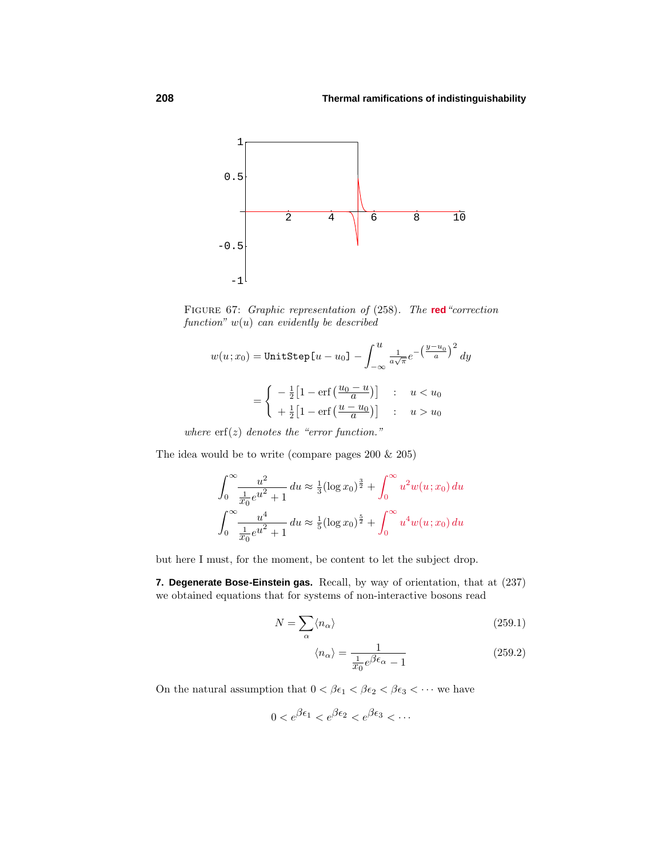

Figure 67: Graphic representation of (258). The **red**"correction function"  $w(u)$  can evidently be described

$$
w(u; x_0) = \text{UnitStep}\left[u - u_0\right] - \int_{-\infty}^{u} \frac{1}{a\sqrt{\pi}} e^{-\left(\frac{y - u_0}{a}\right)^2} dy
$$

$$
= \begin{cases} -\frac{1}{2}\left[1 - \text{erf}\left(\frac{u_0 - u}{a}\right)\right] & \text{: } u < u_0 \\ +\frac{1}{2}\left[1 - \text{erf}\left(\frac{u - u_0}{a}\right)\right] & \text{: } u > u_0 \end{cases}
$$

where  $\text{erf}(z)$  denotes the "error function."

The idea would be to write (compare pages 200 & 205)

$$
\int_0^\infty \frac{u^2}{\frac{1}{x_0}e^{u^2} + 1} du \approx \frac{1}{3} (\log x_0)^{\frac{3}{2}} + \int_0^\infty u^2 w(u; x_0) du
$$
  

$$
\int_0^\infty \frac{u^4}{\frac{1}{x_0}e^{u^2} + 1} du \approx \frac{1}{5} (\log x_0)^{\frac{5}{2}} + \int_0^\infty u^4 w(u; x_0) du
$$

but here I must, for the moment, be content to let the subject drop.

**7. Degenerate Bose-Einstein gas.** Recall, by way of orientation, that at (237) we obtained equations that for systems of non-interactive bosons read

$$
N = \sum_{\alpha} \langle n_{\alpha} \rangle \tag{259.1}
$$

$$
\langle n_{\alpha} \rangle = \frac{1}{\frac{1}{x_0} e^{\beta \epsilon_{\alpha}} - 1} \tag{259.2}
$$

On the natural assumption that  $0 < \beta \epsilon_1 < \beta \epsilon_2 < \beta \epsilon_3 < \cdots$  we have

$$
0 < e^{\beta \epsilon_1} < e^{\beta \epsilon_2} < e^{\beta \epsilon_3} < \cdots
$$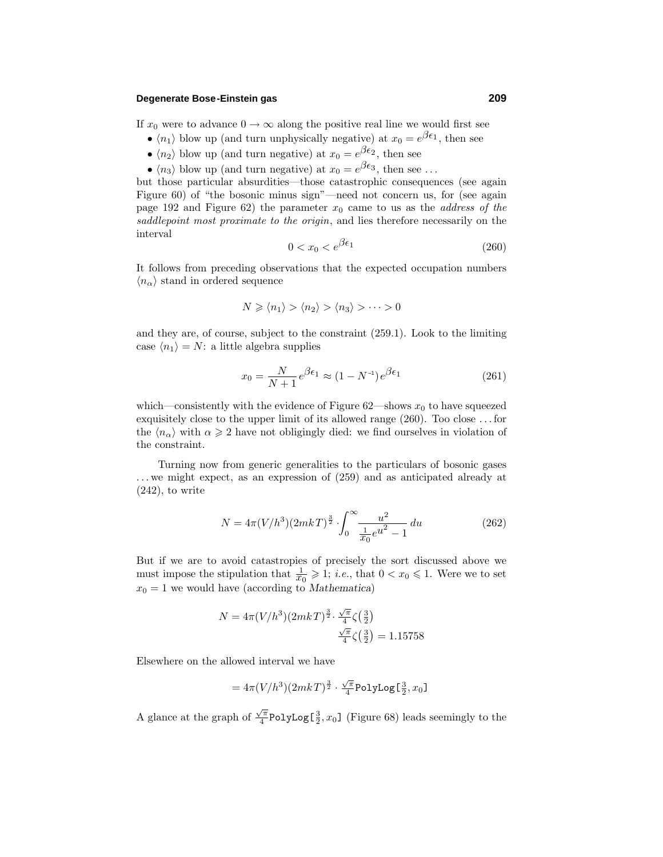### **Degenerate Bose-Einstein gas 209**

If  $x_0$  were to advance  $0 \to \infty$  along the positive real line we would first see

- $\langle n_1 \rangle$  blow up (and turn unphysically negative) at  $x_0 = e^{\beta \epsilon_1}$ , then see
- $\langle n_2 \rangle$  blow up (and turn negative) at  $x_0 = e^{\beta \epsilon_2}$ , then see
- $\langle n_3 \rangle$  blow up (and turn negative) at  $x_0 = e^{\beta \epsilon_3}$ , then see ...

but those particular absurdities—those catastrophic consequences (see again Figure 60) of "the bosonic minus sign"—need not concern us, for (see again page 192 and Figure  $62$ ) the parameter  $x_0$  came to us as the *address of the* saddlepoint most proximate to the origin, and lies therefore necessarily on the interval

$$
0 < x_0 < e^{\beta \epsilon_1} \tag{260}
$$

It follows from preceding observations that the expected occupation numbers  $\langle n_{\alpha} \rangle$  stand in ordered sequence

$$
N \geqslant \langle n_1 \rangle > \langle n_2 \rangle > \langle n_3 \rangle > \cdots > 0
$$

and they are, of course, subject to the constraint (259.1). Look to the limiting case  $\langle n_1 \rangle = N$ : a little algebra supplies

$$
x_0 = \frac{N}{N+1} e^{\beta \epsilon_1} \approx (1 - N^{-1}) e^{\beta \epsilon_1}
$$
 (261)

which—consistently with the evidence of Figure  $62$ —shows  $x_0$  to have squeezed exquisitely close to the upper limit of its allowed range (260). Too close *...* for the  $\langle n_{\alpha} \rangle$  with  $\alpha \geq 2$  have not obligingly died: we find ourselves in violation of the constraint.

Turning now from generic generalities to the particulars of bosonic gases *...* we might expect, as an expression of (259) and as anticipated already at  $(242)$ , to write

$$
N = 4\pi (V/h^3)(2mkT)^{\frac{3}{2}} \cdot \int_0^\infty \frac{u^2}{\frac{1}{x_0}e^{u^2} - 1} du
$$
 (262)

But if we are to avoid catastropies of precisely the sort discussed above we must impose the stipulation that  $\frac{1}{x_0} \geqslant 1$ ; *i.e.*, that  $0 < x_0 \leqslant 1$ . Were we to set  $x_0 = 1$  we would have (according to *Mathematica*)

$$
N = 4\pi (V/h^3)(2mkT)^{\frac{3}{2}} \cdot \frac{\sqrt{\pi}}{4}\zeta(\frac{3}{2})
$$

$$
\frac{\sqrt{\pi}}{4}\zeta(\frac{3}{2}) = 1.15758
$$

Elsewhere on the allowed interval we have

$$
= 4\pi (V/h^3)(2mkT)^{\frac{3}{2}}\cdot\tfrac{\sqrt{\pi}}{4}\text{PolyLog}\mathbb{E}\tfrac{3}{2}, x_0]
$$

A glance at the graph of  $\frac{\sqrt{\pi}}{4}$ PolyLog<sup>[3</sup><sub>2</sub>, x<sub>0</sub>] (Figure 68) leads seemingly to the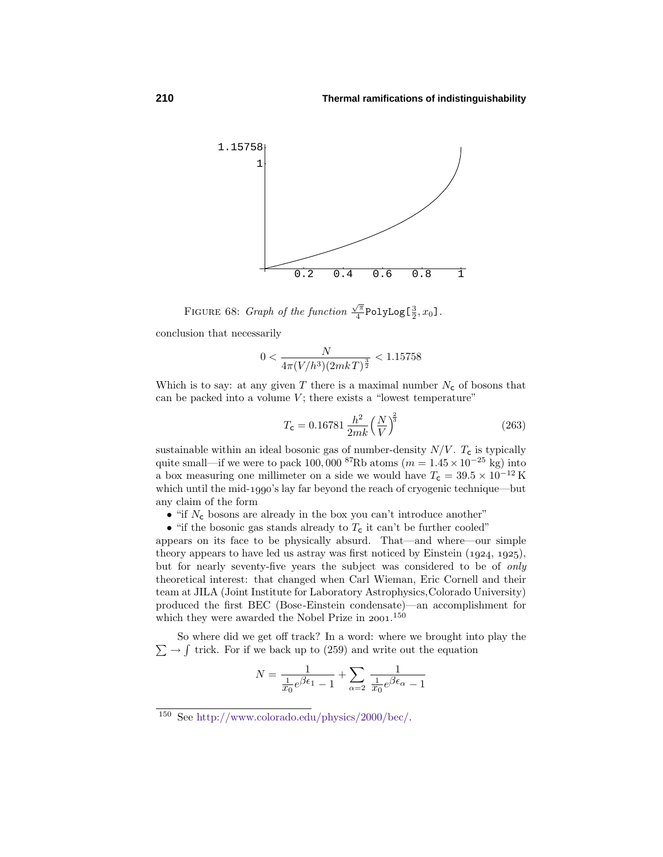

FIGURE 68: *Graph of the function*  $\frac{\sqrt{\pi}}{4}$ PolyLog[ $\frac{3}{2}$ ,  $x_0$ ].

conclusion that necessarily

$$
0 < \frac{N}{4\pi (V/h^3)(2mkT)^{\frac{3}{2}}} < 1.15758
$$

Which is to say: at any given  $T$  there is a maximal number  $N_c$  of bosons that can be packed into a volume  $V$ ; there exists a "lowest temperature"

$$
T_{\rm C} = 0.16781 \frac{h^2}{2mk} \left(\frac{N}{V}\right)^{\frac{2}{3}}\tag{263}
$$

sustainable within an ideal bosonic gas of number-density  $N/V$ .  $T_c$  is typically quite small—if we were to pack 100,000 <sup>87</sup>Rb atoms ( $m = 1.45 \times 10^{-25}$  kg) into a box measuring one millimeter on a side we would have  $T_{\textsf{c}} = 39.5 \times 10^{-12}\,\text{K}$ which until the mid-1990's lay far beyond the reach of cryogenic technique—but any claim of the form

- "if  $N_c$  bosons are already in the box you can't introduce another"
- "if the bosonic gas stands already to  $T_c$  it can't be further cooled"

appears on its face to be physically absurd. That—and where—our simple theory appears to have led us astray was first noticed by Einstein  $(1924, 1925)$ , but for nearly seventy-five years the subject was considered to be of only theoretical interest: that changed when Carl Wieman, Eric Cornell and their team at JILA (Joint Institute for Laboratory Astrophysics,Colorado University) produced the first BEC (Bose-Einstein condensate)—an accomplishment for which they were awarded the Nobel Prize in  $2001$ .<sup>150</sup>

 $\sum \rightarrow \int$  trick. For if we back up to (259) and write out the equation So where did we get off track? In a word: where we brought into play the

$$
N = \frac{1}{\frac{1}{x_0}e^{\beta \epsilon_1} - 1} + \sum_{\alpha = 2} \frac{1}{\frac{1}{x_0}e^{\beta \epsilon_\alpha} - 1}
$$

<sup>150</sup> See http://www.colorado.edu/physics/2000/bec/.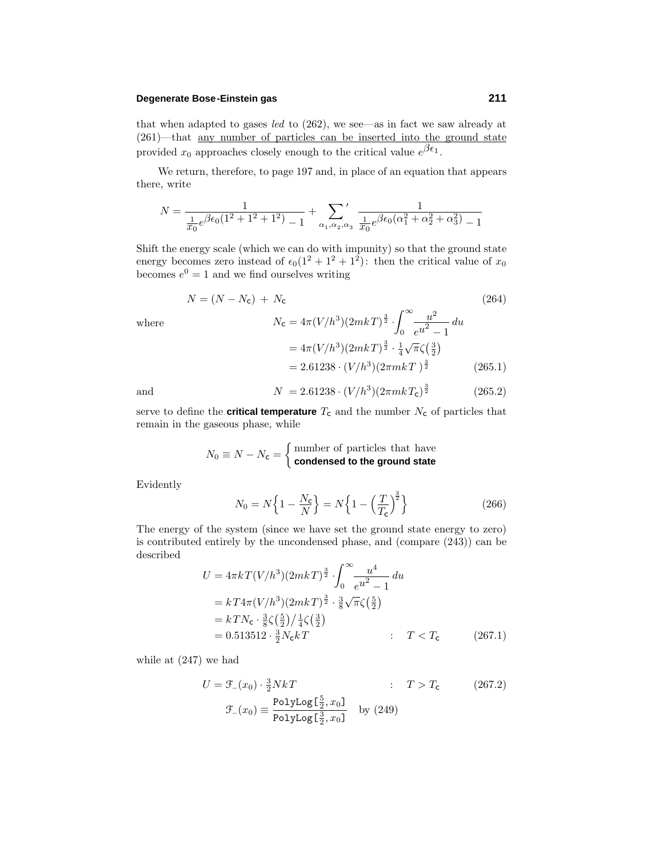### **Degenerate Bose-Einstein gas 211**

that when adapted to gases led to (262), we see—as in fact we saw already at (261)—that any number of particles can be inserted into the ground state provided  $x_0$  approaches closely enough to the critical value  $\overline{e^{\beta \epsilon_1}}$ .

We return, therefore, to page 197 and, in place of an equation that appears there, write

$$
N = \frac{1}{\frac{1}{x_0}e^{\beta \epsilon_0 (1^2 + 1^2 + 1^2)} - 1} + \sum_{\alpha_1, \alpha_2, \alpha_3} \frac{1}{\frac{1}{x_0}e^{\beta \epsilon_0 (\alpha_1^2 + \alpha_2^2 + \alpha_3^2)} - 1}
$$

Shift the energy scale (which we can do with impunity) so that the ground state energy becomes zero instead of  $\epsilon_0(1^2 + 1^2 + 1^2)$ : then the critical value of  $x_0$ becomes  $e^0 = 1$  and we find ourselves writing

$$
N = (N - N_{\rm c}) + N_{\rm c}
$$
\n(264)  
\nwhere  
\n
$$
N_{\rm c} = 4\pi (V/h^3)(2mkT)^{\frac{3}{2}} \cdot \int_0^\infty \frac{u^2}{e^{u^2} - 1} du
$$
\n
$$
= 4\pi (V/h^3)(2mkT)^{\frac{3}{2}} \cdot \frac{1}{4} \sqrt{\pi} \zeta(\frac{3}{2})
$$
\n
$$
= 2.61238 \cdot (V/h^3)(2\pi mkT)^{\frac{3}{2}}
$$
\n(265.1)  
\nand  
\n
$$
N = 2.61238 \cdot (V/h^3)(2\pi mkT)^{\frac{3}{2}}
$$
\n(265.2)

and 
$$
N = 2.61238 \cdot (V/h^3)(2\pi mkT_c)^{\frac{3}{2}}
$$
 (265.2)

serve to define the **critical temperature**  $T_c$  and the number  $N_c$  of particles that remain in the gaseous phase, while

$$
N_0 \equiv N - N_{\rm c} = \begin{cases} \text{number of particles that have} \\ \text{condensed to the ground state} \end{cases}
$$

Evidently

$$
N_0 = N\left\{1 - \frac{N_c}{N}\right\} = N\left\{1 - \left(\frac{T}{T_c}\right)^{\frac{3}{2}}\right\}
$$
 (266)

The energy of the system (since we have set the ground state energy to zero) is contributed entirely by the uncondensed phase, and (compare (243)) can be described

$$
U = 4\pi k T (V/h^3) (2mkT)^{\frac{3}{2}} \cdot \int_0^\infty \frac{u^4}{e^{u^2} - 1} du
$$
  
=  $kT4\pi (V/h^3) (2mkT)^{\frac{3}{2}} \cdot \frac{3}{8} \sqrt{\pi} \zeta(\frac{5}{2})$   
=  $kTN_c \cdot \frac{3}{8} \zeta(\frac{5}{2}) / \frac{1}{4} \zeta(\frac{3}{2})$   
= 0.513512 \cdot \frac{3}{2} N\_c kT : T < T\_c (267.1)

while at (247) we had

$$
U = \mathcal{F}_{-}(x_0) \cdot \frac{3}{2} NkT \qquad : \quad T > T_c \qquad (267.2)
$$

$$
\mathcal{F}_{-}(x_0) \equiv \frac{\text{PolyLog}[\frac{5}{2}, x_0]}{\text{PolyLog}[\frac{3}{2}, x_0]} \quad \text{by (249)}
$$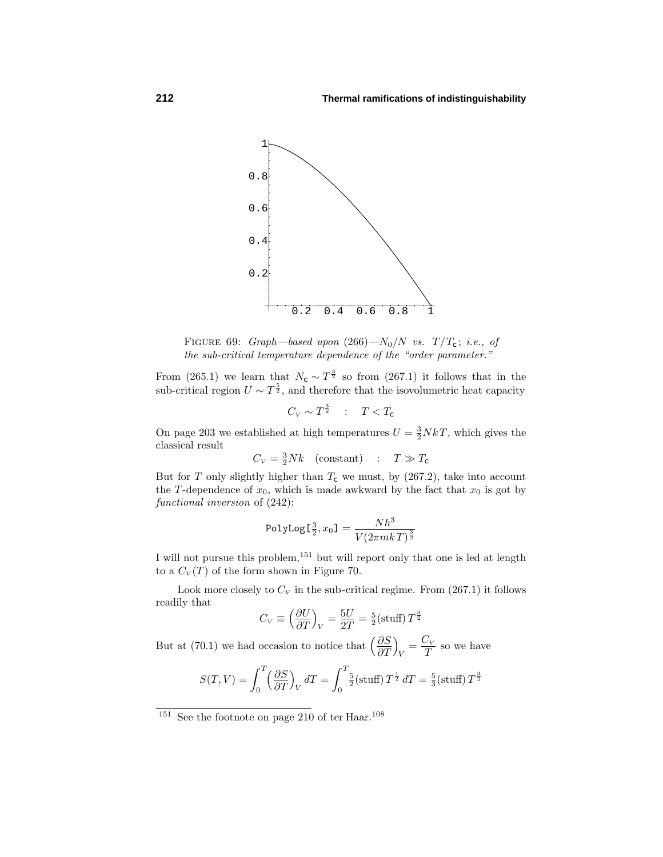

FIGURE 69: Graph—based upon  $(266) - N_0/N$  vs.  $T/T_c$ ; i.e., of the sub-critical temperature dependence of the "order parameter."

From (265.1) we learn that  $N_c \sim T^{\frac{3}{2}}$  so from (267.1) it follows that in the sub-critical region  $U \sim T^{\frac{5}{2}}$ , and therefore that the isovolumetric heat capacity

$$
C_V \sim T^{\frac{3}{2}} \quad : \quad T < T_{\mathsf{c}}
$$

On page 203 we established at high temperatures  $U = \frac{3}{2} N kT$ , which gives the classical result

$$
C_V = \frac{3}{2} Nk \quad \text{(constant)} \quad : \quad T \gg T_{\text{c}}
$$

But for *T* only slightly higher than  $T_c$  we must, by (267.2), take into account the *T*-dependence of  $x_0$ , which is made awkward by the fact that  $x_0$  is got by functional inversion of (242):

$$
\texttt{PolyLog}[\tfrac{3}{2},x_0]=\frac{Nh^3}{V(2\pi mkT)^{\frac{3}{2}}}
$$

I will not pursue this problem,  $^{151}$  but will report only that one is led at length to a  $C_V(T)$  of the form shown in Figure 70.

Look more closely to  $C_V$  in the sub-critical regime. From  $(267.1)$  it follows readily that

$$
C_V \equiv \left(\frac{\partial U}{\partial T}\right)_V = \frac{5U}{2T} = \frac{5}{2} \text{(stuff)} T^{\frac{3}{2}}
$$

But at (70.1) we had occasion to notice that  $\left(\frac{\partial S}{\partial T}\right)$  $\setminus$  $V = \frac{C_V}{T}$  so we have

$$
S(T,V) = \int_0^T \left(\frac{\partial S}{\partial T}\right)_V dT = \int_0^T \frac{5}{2} \left(\text{stuff}\right) T^{\frac{1}{2}} dT = \frac{5}{3} \left(\text{stuff}\right) T^{\frac{3}{2}}
$$

 $151$  See the footnote on page 210 of ter Haar.<sup>108</sup>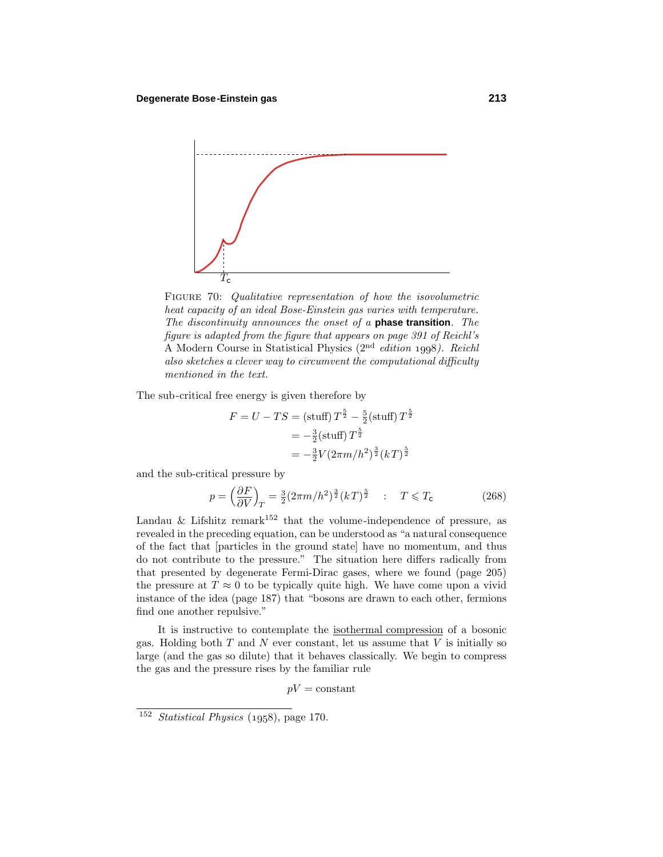

FIGURE 70: Qualitative representation of how the isovolumetric heat capacity of an ideal Bose-Einstein gas varies with temperature. The discontinuity announces the onset of a **phase transition**. The figure is adapted from the figure that appears on page 391 of Reichl's A Modern Course in Statistical Physics  $(2<sup>nd</sup> edition 1998)$ . Reichl also sketches a clever way to circumvent the computational difficulty mentioned in the text.

The sub-critical free energy is given therefore by

$$
F = U - TS = (\text{stuff}) T^{\frac{5}{2}} - \frac{5}{2} (\text{stuff}) T^{\frac{5}{2}}
$$
  
=  $-\frac{3}{2} (\text{stuff}) T^{\frac{5}{2}}$   
=  $-\frac{3}{2} V (2\pi m/h^2)^{\frac{3}{2}} (kT)^{\frac{5}{2}}$ 

and the sub-critical pressure by

$$
p = \left(\frac{\partial F}{\partial V}\right)_T = \frac{3}{2}(2\pi m/h^2)^{\frac{3}{2}}(kT)^{\frac{5}{2}} \quad : \quad T \le T_c \tag{268}
$$

Landau & Lifshitz remark<sup>152</sup> that the volume-independence of pressure, as revealed in the preceding equation, can be understood as "a natural consequence of the fact that [particles in the ground state] have no momentum, and thus do not contribute to the pressure." The situation here differs radically from that presented by degenerate Fermi-Dirac gases, where we found (page 205) the pressure at  $T \approx 0$  to be typically quite high. We have come upon a vivid instance of the idea (page 187) that "bosons are drawn to each other, fermions find one another repulsive."

It is instructive to contemplate the isothermal compression of a bosonic gas. Holding both *T* and *N* ever constant, let us assume that *V* is initially so large (and the gas so dilute) that it behaves classically. We begin to compress the gas and the pressure rises by the familiar rule

 $pV = \text{constant}$ 

<sup>&</sup>lt;sup>152</sup> Statistical Physics  $(1958)$ , page 170.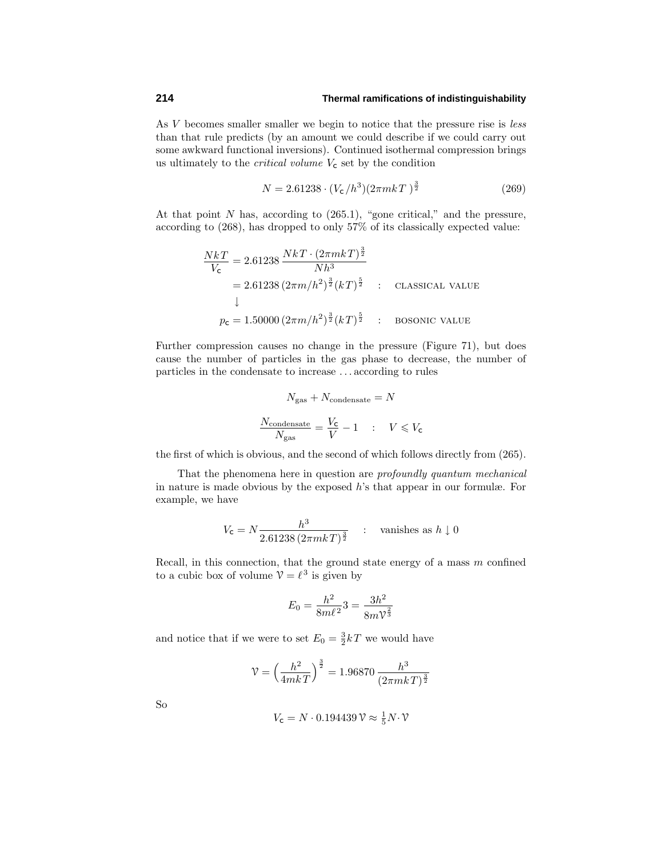As *V* becomes smaller smaller we begin to notice that the pressure rise is *less* than that rule predicts (by an amount we could describe if we could carry out some awkward functional inversions). Continued isothermal compression brings us ultimately to the *critical volume*  $V_c$  set by the condition

$$
N = 2.61238 \cdot (V_c/h^3)(2\pi mkT)^{\frac{3}{2}}
$$
 (269)

At that point *N* has, according to (265.1), "gone critical," and the pressure, according to (268), has dropped to only 57% of its classically expected value:

$$
\frac{NkT}{V_{\rm c}} = 2.61238 \frac{NkT \cdot (2\pi mkT)^{\frac{3}{2}}}{Nh^3}
$$
  
= 2.61238  $(2\pi m/h^2)^{\frac{3}{2}} (kT)^{\frac{5}{2}}$  : CLASSICAL VALUE  
 $p_{\rm c} = 1.50000 (2\pi m/h^2)^{\frac{3}{2}} (kT)^{\frac{5}{2}}$  : Bosonic value

Further compression causes no change in the pressure (Figure 71), but does cause the number of particles in the gas phase to decrease, the number of particles in the condensate to increase *...* according to rules

$$
N_{\text{gas}} + N_{\text{condensate}} = N
$$
  

$$
\frac{N_{\text{condensate}}}{N_{\text{gas}}} = \frac{V_{\text{C}}}{V} - 1 \qquad : \qquad V \leq V_{\text{C}}
$$

the first of which is obvious, and the second of which follows directly from (265).

That the phenomena here in question are profoundly quantum mechanical in nature is made obvious by the exposed *h*'s that appear in our formulæ. For example, we have

$$
V_{\mathsf{c}} = N \frac{h^3}{2.61238 \left(2\pi mkT\right)^{\frac{3}{2}}} \quad : \quad \text{vanishes as } h \downarrow 0
$$

Recall, in this connection, that the ground state energy of a mass *m* confined to a cubic box of volume  $V = \ell^3$  is given by

$$
E_0 = \frac{h^2}{8m\ell^2}3 = \frac{3h^2}{8m\ell^2}
$$

and notice that if we were to set  $E_0 = \frac{3}{2}kT$  we would have

$$
\mathcal{V} = \left(\frac{h^2}{4mkT}\right)^{\frac{3}{2}} = 1.96870 \, \frac{h^3}{(2\pi mkT)^{\frac{3}{2}}}
$$

So

$$
V_{\mathsf{C}} = N \cdot 0.194439 \,\mathcal{V} \approx \frac{1}{5} N \cdot \mathcal{V}
$$